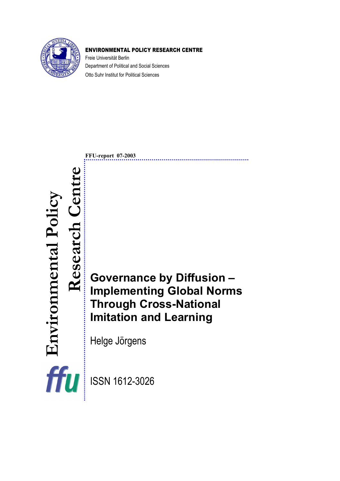

#### ENVIRONMENTAL POLICY RESEARCH CENTRE

Freie Universität Berlin Department of Political and Social Sciences Otto Suhr Institut for Political Sciences

**FFU-report 07-2003 Research Centre**<br> **Research Centre 2018**<br> **Response to Contract Contract Person –**<br> **Response Contract Person Person Environmental Policy**  Environmental Policy **Implementing Global Norms Through Cross-National Imitation and Learning**  Helge Jörgens ffu ISSN 1612-3026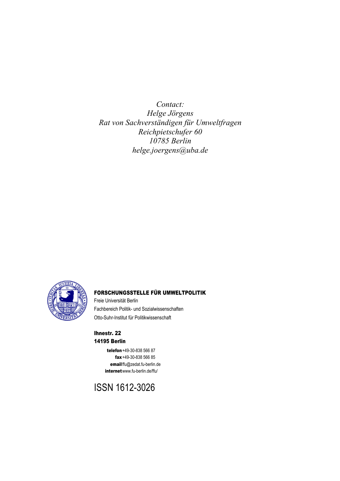*Contact: Helge Jörgens Rat von Sachverständigen für Umweltfragen Reichpietschufer 60 10785 Berlin helge.joergens@uba.de* 



#### FORSCHUNGSSTELLE FÜR UMWELTPOLITIK

Freie Universität Berlin Fachbereich Politik- und Sozialwissenschaften Otto-Suhr-Institut für Politikwissenschaft

#### Ihnestr. 22 14195 Berlin

telefon +49-30-838 566 87 fax +49-30-838 566 85 email ffu@zedat.fu-berlin.de internet www.fu-berlin.de/ffu/

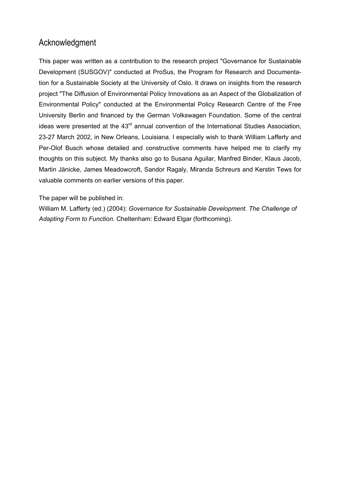# Acknowledgment

This paper was written as a contribution to the research project "Governance for Sustainable Development (SUSGOV)" conducted at ProSus, the Program for Research and Documentation for a Sustainable Society at the University of Oslo. It draws on insights from the research project "The Diffusion of Environmental Policy Innovations as an Aspect of the Globalization of Environmental Policy" conducted at the Environmental Policy Research Centre of the Free University Berlin and financed by the German Volkswagen Foundation. Some of the central ideas were presented at the  $43<sup>rd</sup>$  annual convention of the International Studies Association, 23-27 March 2002, in New Orleans, Louisiana. I especially wish to thank William Lafferty and Per-Olof Busch whose detailed and constructive comments have helped me to clarify my thoughts on this subject. My thanks also go to Susana Aguilar, Manfred Binder, Klaus Jacob, Martin Jänicke, James Meadowcroft, Sandor Ragaly, Miranda Schreurs and Kerstin Tews for valuable comments on earlier versions of this paper.

The paper will be published in:

William M. Lafferty (ed.) (2004): *Governance for Sustainable Development. The Challenge of Adapting Form to Function*. Cheltenham: Edward Elgar (forthcoming).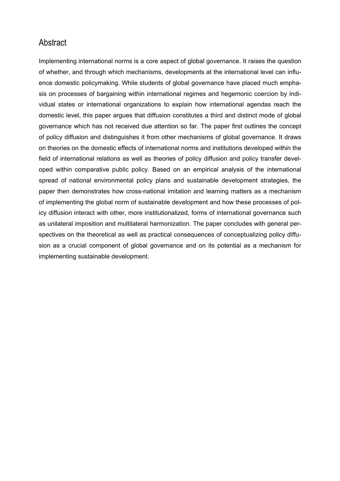## **Abstract**

Implementing international norms is a core aspect of global governance. It raises the question of whether, and through which mechanisms, developments at the international level can influence domestic policymaking. While students of global governance have placed much emphasis on processes of bargaining within international regimes and hegemonic coercion by individual states or international organizations to explain how international agendas reach the domestic level, this paper argues that diffusion constitutes a third and distinct mode of global governance which has not received due attention so far. The paper first outlines the concept of policy diffusion and distinguishes it from other mechanisms of global governance. It draws on theories on the domestic effects of international norms and institutions developed within the field of international relations as well as theories of policy diffusion and policy transfer developed within comparative public policy. Based on an empirical analysis of the international spread of national environmental policy plans and sustainable development strategies, the paper then demonstrates how cross-national imitation and learning matters as a mechanism of implementing the global norm of sustainable development and how these processes of policy diffusion interact with other, more institutionalized, forms of international governance such as unilateral imposition and multilateral harmonization. The paper concludes with general perspectives on the theoretical as well as practical consequences of conceptualizing policy diffusion as a crucial component of global governance and on its potential as a mechanism for implementing sustainable development.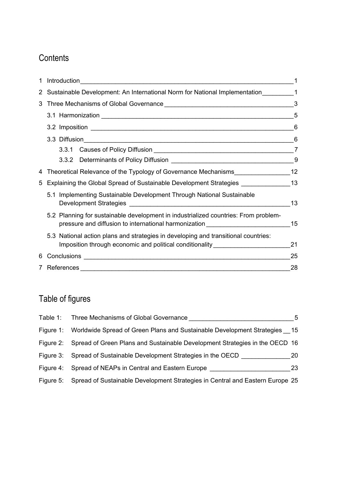# **Contents**

| 1  |                                                                                                                                                                                               |    |  |  |  |
|----|-----------------------------------------------------------------------------------------------------------------------------------------------------------------------------------------------|----|--|--|--|
|    | 2 Sustainable Development: An International Norm for National Implementation<br>$\mathbf 1$                                                                                                   |    |  |  |  |
| 3  |                                                                                                                                                                                               |    |  |  |  |
|    |                                                                                                                                                                                               |    |  |  |  |
|    |                                                                                                                                                                                               |    |  |  |  |
|    |                                                                                                                                                                                               | 6  |  |  |  |
|    |                                                                                                                                                                                               |    |  |  |  |
|    |                                                                                                                                                                                               | 9  |  |  |  |
|    | 4 Theoretical Relevance of the Typology of Governance Mechanisms 12                                                                                                                           |    |  |  |  |
| 5  | Explaining the Global Spread of Sustainable Development Strategies ______________13                                                                                                           |    |  |  |  |
|    | 5.1 Implementing Sustainable Development Through National Sustainable<br>13<br>Development Strategies [1986] [1986] [1986] [1986] [1986] [1986] [1986] [1986] [1986] [1986] [1986] [1986] [19 |    |  |  |  |
|    | 5.2 Planning for sustainable development in industrialized countries: From problem-<br>pressure and diffusion to international harmonization __________________________15                     |    |  |  |  |
|    | 5.3 National action plans and strategies in developing and transitional countries:<br>Imposition through economic and political conditionality________________________                        | 21 |  |  |  |
| 6. |                                                                                                                                                                                               | 25 |  |  |  |
|    |                                                                                                                                                                                               | 28 |  |  |  |

# Table of figures

|           | Table 1: Three Mechanisms of Global Governance                                | 5         |
|-----------|-------------------------------------------------------------------------------|-----------|
| Figure 1: | Worldwide Spread of Green Plans and Sustainable Development Strategies 15     |           |
| Figure 2: | Spread of Green Plans and Sustainable Development Strategies in the OECD 16   |           |
| Figure 3: | Spread of Sustainable Development Strategies in the OECD                      | <b>20</b> |
| Figure 4: | Spread of NEAPs in Central and Eastern Europe                                 | 23        |
| Figure 5: | Spread of Sustainable Development Strategies in Central and Eastern Europe 25 |           |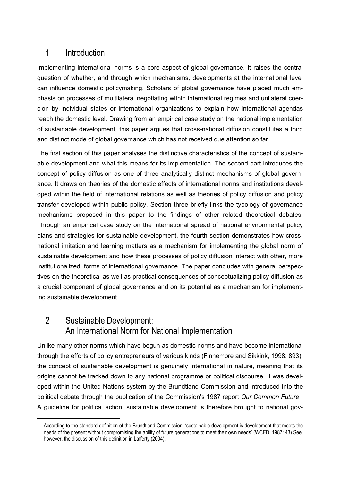# 1 Introduction

Implementing international norms is a core aspect of global governance. It raises the central question of whether, and through which mechanisms, developments at the international level can influence domestic policymaking. Scholars of global governance have placed much emphasis on processes of multilateral negotiating within international regimes and unilateral coercion by individual states or international organizations to explain how international agendas reach the domestic level. Drawing from an empirical case study on the national implementation of sustainable development, this paper argues that cross-national diffusion constitutes a third and distinct mode of global governance which has not received due attention so far.

The first section of this paper analyses the distinctive characteristics of the concept of sustainable development and what this means for its implementation. The second part introduces the concept of policy diffusion as one of three analytically distinct mechanisms of global governance. It draws on theories of the domestic effects of international norms and institutions developed within the field of international relations as well as theories of policy diffusion and policy transfer developed within public policy. Section three briefly links the typology of governance mechanisms proposed in this paper to the findings of other related theoretical debates. Through an empirical case study on the international spread of national environmental policy plans and strategies for sustainable development, the fourth section demonstrates how crossnational imitation and learning matters as a mechanism for implementing the global norm of sustainable development and how these processes of policy diffusion interact with other, more institutionalized, forms of international governance. The paper concludes with general perspectives on the theoretical as well as practical consequences of conceptualizing policy diffusion as a crucial component of global governance and on its potential as a mechanism for implementing sustainable development.

# 2 Sustainable Development: An International Norm for National Implementation

Unlike many other norms which have begun as domestic norms and have become international through the efforts of policy entrepreneurs of various kinds (Finnemore and Sikkink, 1998: 893), the concept of sustainable development is genuinely international in nature, meaning that its origins cannot be tracked down to any national programme or political discourse. It was developed within the United Nations system by the Brundtland Commission and introduced into the political debate through the publication of the Commission's 1987 report *Our Common Future*. 1 A guideline for political action, sustainable development is therefore brought to national gov-

<sup>1</sup> According to the standard definition of the Brundtland Commission, 'sustainable development is development that meets the needs of the present without compromising the ability of future generations to meet their own needs' (WCED, 1987: 43) See, however, the discussion of this definition in Lafferty (2004).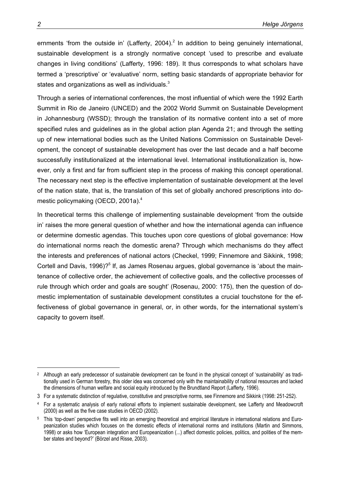ernments 'from the outside in' (Lafferty, 2004).<sup>2</sup> In addition to being genuinely international, sustainable development is a strongly normative concept 'used to prescribe and evaluate changes in living conditions' (Lafferty, 1996: 189). It thus corresponds to what scholars have termed a 'prescriptive' or 'evaluative' norm, setting basic standards of appropriate behavior for states and organizations as well as individuals. $3$ 

Through a series of international conferences, the most influential of which were the 1992 Earth Summit in Rio de Janeiro (UNCED) and the 2002 World Summit on Sustainable Development in Johannesburg (WSSD); through the translation of its normative content into a set of more specified rules and guidelines as in the global action plan Agenda 21; and through the setting up of new international bodies such as the United Nations Commission on Sustainable Development, the concept of sustainable development has over the last decade and a half become successfully institutionalized at the international level. International institutionalization is, however, only a first and far from sufficient step in the process of making this concept operational. The necessary next step is the effective implementation of sustainable development at the level of the nation state, that is, the translation of this set of globally anchored prescriptions into domestic policymaking (OECD, 2001a).<sup>4</sup>

In theoretical terms this challenge of implementing sustainable development 'from the outside in' raises the more general question of whether and how the international agenda can influence or determine domestic agendas. This touches upon core questions of global governance: How do international norms reach the domestic arena? Through which mechanisms do they affect the interests and preferences of national actors (Checkel, 1999; Finnemore and Sikkink, 1998; Cortell and Davis, 1996)?<sup>5</sup> If, as James Rosenau argues, global governance is 'about the maintenance of collective order, the achievement of collective goals, and the collective processes of rule through which order and goals are sought' (Rosenau, 2000: 175), then the question of domestic implementation of sustainable development constitutes a crucial touchstone for the effectiveness of global governance in general, or, in other words, for the international system's capacity to govern itself.

 $\overline{a}$ 

<sup>&</sup>lt;sup>2</sup> Although an early predecessor of sustainable development can be found in the physical concept of 'sustainability' as traditionally used in German forestry, this older idea was concerned only with the maintainability of national resources and lacked the dimensions of human welfare and social equity introduced by the Brundtland Report (Lafferty, 1996).

<sup>3</sup> For a systematic distinction of regulative, constitutive and prescriptive norms, see Finnemore and Sikkink (1998: 251-252).

<sup>4</sup> For a systematic analysis of early national efforts to implement sustainable development, see Lafferty and Meadowcroft (2000) as well as the five case studies in OECD (2002).

<sup>5</sup> This 'top-down' perspective fits well into an emerging theoretical and empirical literature in international relations and Europeanization studies which focuses on the domestic effects of international norms and institutions (Martin and Simmons, 1998) or asks how 'European integration and Europeanization (...) affect domestic policies, politics, and polities of the member states and beyond?' (Börzel and Risse, 2003).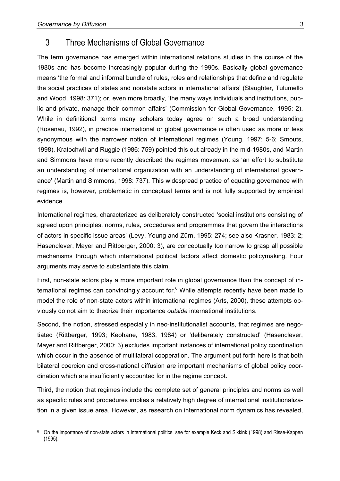$\overline{a}$ 

# 3 Three Mechanisms of Global Governance

The term governance has emerged within international relations studies in the course of the 1980s and has become increasingly popular during the 1990s. Basically global governance means 'the formal and informal bundle of rules, roles and relationships that define and regulate the social practices of states and nonstate actors in international affairs' (Slaughter, Tulumello and Wood, 1998: 371); or, even more broadly, 'the many ways individuals and institutions, public and private, manage their common affairs' (Commission for Global Governance, 1995: 2). While in definitional terms many scholars today agree on such a broad understanding (Rosenau, 1992), in practice international or global governance is often used as more or less synonymous with the narrower notion of international regimes (Young, 1997: 5-6; Smouts, 1998). Kratochwil and Ruggie (1986: 759) pointed this out already in the mid-1980s, and Martin and Simmons have more recently described the regimes movement as 'an effort to substitute an understanding of international organization with an understanding of international governance' (Martin and Simmons, 1998: 737). This widespread practice of equating governance with regimes is, however, problematic in conceptual terms and is not fully supported by empirical evidence.

International regimes, characterized as deliberately constructed 'social institutions consisting of agreed upon principles, norms, rules, procedures and programmes that govern the interactions of actors in specific issue areas' (Levy, Young and Zürn, 1995: 274; see also Krasner, 1983: 2; Hasenclever, Mayer and Rittberger, 2000: 3), are conceptually too narrow to grasp all possible mechanisms through which international political factors affect domestic policymaking. Four arguments may serve to substantiate this claim.

First, non-state actors play a more important role in global governance than the concept of international regimes can convincingly account for.<sup>6</sup> While attempts recently have been made to model the role of non-state actors within international regimes (Arts, 2000), these attempts obviously do not aim to theorize their importance *outside* international institutions.

Second, the notion, stressed especially in neo-institutionalist accounts, that regimes are negotiated (Rittberger, 1993; Keohane, 1983, 1984) or 'deliberately constructed' (Hasenclever, Mayer and Rittberger, 2000: 3) excludes important instances of international policy coordination which occur in the absence of multilateral cooperation. The argument put forth here is that both bilateral coercion and cross-national diffusion are important mechanisms of global policy coordination which are insufficiently accounted for in the regime concept.

Third, the notion that regimes include the complete set of general principles and norms as well as specific rules and procedures implies a relatively high degree of international institutionalization in a given issue area. However, as research on international norm dynamics has revealed,

<sup>6</sup> On the importance of non-state actors in international politics, see for example Keck and Sikkink (1998) and Risse-Kappen (1995).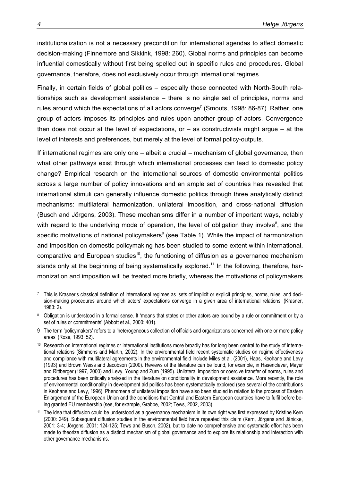institutionalization is not a necessary precondition for international agendas to affect domestic decision-making (Finnemore and Sikkink, 1998: 260). Global norms and principles can become influential domestically without first being spelled out in specific rules and procedures. Global governance, therefore, does not exclusively occur through international regimes.

Finally, in certain fields of global politics – especially those connected with North-South relationships such as development assistance – there is no single set of principles, norms and rules around which the expectations of all actors converge<sup>7</sup> (Smouts, 1998: 86-87). Rather, one group of actors imposes its principles and rules upon another group of actors. Convergence then does not occur at the level of expectations, or  $-$  as constructivists might argue  $-$  at the level of interests and preferences, but merely at the level of formal policy-outputs.

If international regimes are only one – albeit a crucial – mechanism of global governance, then what other pathways exist through which international processes can lead to domestic policy change? Empirical research on the international sources of domestic environmental politics across a large number of policy innovations and an ample set of countries has revealed that international stimuli can generally influence domestic politics through three analytically distinct mechanisms: multilateral harmonization, unilateral imposition, and cross-national diffusion (Busch and Jörgens, 2003). These mechanisms differ in a number of important ways, notably with regard to the underlying mode of operation, the level of obligation they involve<sup>8</sup>, and the specific motivations of national policymakers<sup>9</sup> (see Table 1). While the impact of harmonization and imposition on domestic policymaking has been studied to some extent within international, comparative and European studies<sup>10</sup>, the functioning of diffusion as a governance mechanism stands only at the beginning of being systematically explored.<sup>11</sup> In the following, therefore, harmonization and imposition will be treated more briefly, whereas the motivations of policymakers

 $\overline{a}$ 

<sup>7</sup> This is Krasner's classical definition of international regimes as 'sets of implicit or explicit principles, norms, rules, and decision-making procedures around which actors' expectations converge in a given area of international relations' (Krasner, 1983: 2).

<sup>8</sup> Obligation is understood in a formal sense. It 'means that states or other actors are bound by a rule or commitment or by a set of rules or commitments' (Abbott et al., 2000: 401).

<sup>9</sup> The term 'policymakers' refers to a 'heterogeneous collection of officials and organizations concerned with one or more policy areas' (Rose, 1993: 52).

<sup>&</sup>lt;sup>10</sup> Research on international regimes or international institutions more broadly has for long been central to the study of international relations (Simmons and Martin, 2002). In the environmental field recent systematic studies on regime effectiveness and compliance with multilateral agreements in the environmental field include Miles et al. (2001), Haas, Keohane and Levy (1993) and Brown Weiss and Jacobson (2000). Reviews of the literature can be found, for example, in Hasenclever, Mayer and Rittberger (1997, 2000) and Levy, Young and Zürn (1995). Unilateral imposition or coercive transfer of norms, rules and procedures has been critically analysed in the literature on conditionality in development assistance. More recently, the role of environmental conditionality in development aid politics has been systematically explored (see several of the contributions in Keohane and Levy, 1996). Phenomena of unilateral imposition have also been studied in relation to the process of Eastern Enlargement of the European Union and the conditions that Central and Eastern European countries have to fulfil before being granted EU membership (see, for example, Grabbe, 2002; Tews, 2002, 2003).

<sup>&</sup>lt;sup>11</sup> The idea that diffusion could be understood as a governance mechanism in its own right was first expressed by Kristine Kern (2000: 249). Subsequent diffusion studies in the environmental field have repeated this claim (Kern, Jörgens and Jänicke, 2001: 3-4; Jörgens, 2001: 124-125; Tews and Busch, 2002), but to date no comprehensive and systematic effort has been made to theorize diffusion as a distinct mechanism of global governance and to explore its relationship and interaction with other governance mechanisms.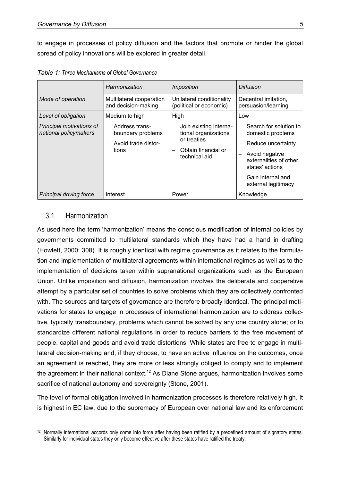to engage in processes of policy diffusion and the factors that promote or hinder the global spread of policy innovations will be explored in greater detail.

|                                                   | Harmonization                                                                                   | <i><b>Imposition</b></i>                                                                              | <b>Diffusion</b>                                                                                                                                                             |
|---------------------------------------------------|-------------------------------------------------------------------------------------------------|-------------------------------------------------------------------------------------------------------|------------------------------------------------------------------------------------------------------------------------------------------------------------------------------|
| Mode of operation                                 | Multilateral cooperation<br>and decision-making                                                 | Unilateral conditionality<br>(political or economic)                                                  | Decentral imitation,<br>persuasion/learning                                                                                                                                  |
| Level of obligation                               | Medium to high                                                                                  | High                                                                                                  | Low                                                                                                                                                                          |
| Principal motivations of<br>national policymakers | Address trans-<br>$\overline{\phantom{0}}$<br>boundary problems<br>Avoid trade distor-<br>tions | Join existing interna-<br>tional organizations<br>or treaties<br>Obtain financial or<br>technical aid | Search for solution to<br>domestic problems<br>Reduce uncertainty<br>Avoid negative<br>externalities of other<br>states' actions<br>Gain internal and<br>external legitimacy |
| <b>Principal driving force</b>                    | Interest                                                                                        | Power                                                                                                 | Knowledge                                                                                                                                                                    |

*Table 1: Three Mechanisms of Global Governance*

### 3.1 Harmonization

 $\overline{a}$ 

As used here the term 'harmonization' means the conscious modification of internal policies by governments committed to multilateral standards which they have had a hand in drafting (Howlett, 2000: 308). It is roughly identical with regime governance as it relates to the formulation and implementation of multilateral agreements within international regimes as well as to the implementation of decisions taken within supranational organizations such as the European Union. Unlike imposition and diffusion, harmonization involves the deliberate and cooperative attempt by a particular set of countries to solve problems which they are collectively confronted with. The sources and targets of governance are therefore broadly identical. The principal motivations for states to engage in processes of international harmonization are to address collective, typically transboundary, problems which cannot be solved by any one country alone; or to standardize different national regulations in order to reduce barriers to the free movement of people, capital and goods and avoid trade distortions. While states are free to engage in multilateral decision-making and, if they choose, to have an active influence on the outcomes, once an agreement is reached, they are more or less strongly obliged to comply and to implement the agreement in their national context.<sup>12</sup> As Diane Stone argues, harmonization involves some sacrifice of national autonomy and sovereignty (Stone, 2001).

The level of formal obligation involved in harmonization processes is therefore relatively high. It is highest in EC law, due to the supremacy of European over national law and its enforcement

<sup>12</sup> Normally international accords only come into force after having been ratified by a predefined amount of signatory states. Similarly for individual states they only become effective after these states have ratified the treaty.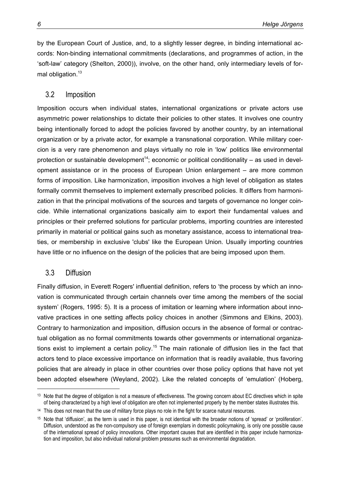by the European Court of Justice, and, to a slightly lesser degree, in binding international accords: Non-binding international commitments (declarations, and programmes of action, in the 'soft-law' category (Shelton, 2000)), involve, on the other hand, only intermediary levels of formal obligation.<sup>13</sup>

#### 3.2 Imposition

Imposition occurs when individual states, international organizations or private actors use asymmetric power relationships to dictate their policies to other states. It involves one country being intentionally forced to adopt the policies favored by another country, by an international organization or by a private actor, for example a transnational corporation. While military coercion is a very rare phenomenon and plays virtually no role in 'low' politics like environmental protection or sustainable development<sup>14</sup>; economic or political conditionality – as used in development assistance or in the process of European Union enlargement – are more common forms of imposition. Like harmonization, imposition involves a high level of obligation as states formally commit themselves to implement externally prescribed policies. It differs from harmonization in that the principal motivations of the sources and targets of governance no longer coincide. While international organizations basically aim to export their fundamental values and principles or their preferred solutions for particular problems, importing countries are interested primarily in material or political gains such as monetary assistance, access to international treaties, or membership in exclusive 'clubs' like the European Union. Usually importing countries have little or no influence on the design of the policies that are being imposed upon them.

#### 3.3 Diffusion

 $\overline{a}$ 

Finally diffusion, in Everett Rogers' influential definition, refers to 'the process by which an innovation is communicated through certain channels over time among the members of the social system' (Rogers, 1995: 5). It is a process of imitation or learning where information about innovative practices in one setting affects policy choices in another (Simmons and Elkins, 2003). Contrary to harmonization and imposition, diffusion occurs in the absence of formal or contractual obligation as no formal commitments towards other governments or international organizations exist to implement a certain policy.<sup>15</sup> The main rationale of diffusion lies in the fact that actors tend to place excessive importance on information that is readily available, thus favoring policies that are already in place in other countries over those policy options that have not yet been adopted elsewhere (Weyland, 2002). Like the related concepts of 'emulation' (Hoberg,

<sup>&</sup>lt;sup>13</sup> Note that the degree of obligation is not a measure of effectiveness. The growing concern about EC directives which in spite of being characterized by a high level of obligation are often not implemented properly by the member states illustrates this.

<sup>14</sup> This does not mean that the use of military force plays no role in the fight for scarce natural resources.

<sup>15</sup> Note that 'diffusion', as the term is used in this paper, is not identical with the broader notions of 'spread' or 'proliferation'. Diffusion, understood as the non-compulsory use of foreign exemplars in domestic policymaking, is only one possible cause of the international spread of policy innovations. Other important causes that are identified in this paper include harmonization and imposition, but also individual national problem pressures such as environmental degradation.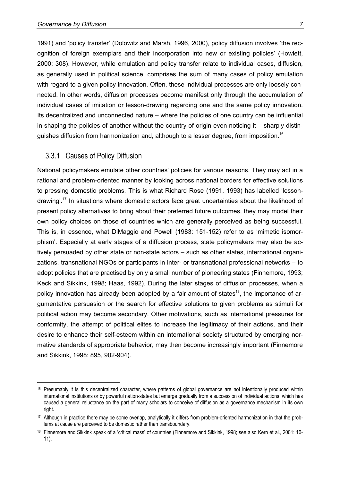1991) and 'policy transfer' (Dolowitz and Marsh, 1996, 2000), policy diffusion involves 'the recognition of foreign exemplars and their incorporation into new or existing policies' (Howlett, 2000: 308). However, while emulation and policy transfer relate to individual cases, diffusion, as generally used in political science, comprises the sum of many cases of policy emulation with regard to a given policy innovation. Often, these individual processes are only loosely connected. In other words, diffusion processes become manifest only through the accumulation of individual cases of imitation or lesson-drawing regarding one and the same policy innovation. Its decentralized and unconnected nature – where the policies of one country can be influential in shaping the policies of another without the country of origin even noticing it – sharply distinquishes diffusion from harmonization and, although to a lesser degree, from imposition.<sup>16</sup>

#### 3.3.1 Causes of Policy Diffusion

National policymakers emulate other countries' policies for various reasons. They may act in a rational and problem-oriented manner by looking across national borders for effective solutions to pressing domestic problems. This is what Richard Rose (1991, 1993) has labelled 'lessondrawing'.<sup>17</sup> In situations where domestic actors face great uncertainties about the likelihood of present policy alternatives to bring about their preferred future outcomes, they may model their own policy choices on those of countries which are generally perceived as being successful. This is, in essence, what DiMaggio and Powell (1983: 151-152) refer to as 'mimetic isomorphism'. Especially at early stages of a diffusion process, state policymakers may also be actively persuaded by other state or non-state actors – such as other states, international organizations, transnational NGOs or participants in inter- or transnational professional networks – to adopt policies that are practised by only a small number of pioneering states (Finnemore, 1993; Keck and Sikkink, 1998; Haas, 1992). During the later stages of diffusion processes, when a policy innovation has already been adopted by a fair amount of states<sup>18</sup>, the importance of argumentative persuasion or the search for effective solutions to given problems as stimuli for political action may become secondary. Other motivations, such as international pressures for conformity, the attempt of political elites to increase the legitimacy of their actions, and their desire to enhance their self-esteem within an international society structured by emerging normative standards of appropriate behavior, may then become increasingly important (Finnemore and Sikkink, 1998: 895, 902-904).

<sup>&</sup>lt;sup>16</sup> Presumably it is this decentralized character, where patterns of global governance are not intentionally produced within international institutions or by powerful nation-states but emerge gradually from a succession of individual actions, which has caused a general reluctance on the part of many scholars to conceive of diffusion as a governance mechanism in its own right.

<sup>17</sup> Although in practice there may be some overlap, analytically it differs from problem-oriented harmonization in that the problems at cause are perceived to be domestic rather than transboundary.

<sup>18</sup> Finnemore and Sikkink speak of a 'critical mass' of countries (Finnemore and Sikkink, 1998; see also Kern et al., 2001: 10- 11).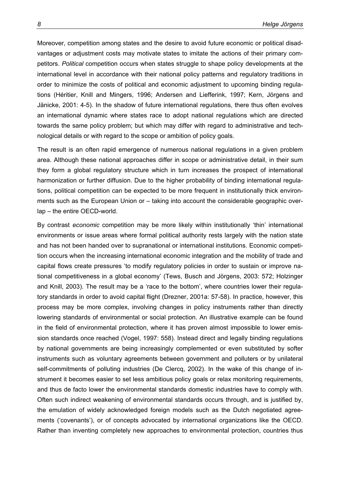Moreover, competition among states and the desire to avoid future economic or political disadvantages or adjustment costs may motivate states to imitate the actions of their primary competitors. *Political* competition occurs when states struggle to shape policy developments at the international level in accordance with their national policy patterns and regulatory traditions in order to minimize the costs of political and economic adjustment to upcoming binding regulations (Héritier, Knill and Mingers, 1996; Andersen and Liefferink, 1997; Kern, Jörgens and Jänicke, 2001: 4-5). In the shadow of future international regulations, there thus often evolves an international dynamic where states race to adopt national regulations which are directed towards the same policy problem; but which may differ with regard to administrative and technological details or with regard to the scope or ambition of policy goals.

The result is an often rapid emergence of numerous national regulations in a given problem area. Although these national approaches differ in scope or administrative detail, in their sum they form a global regulatory structure which in turn increases the prospect of international harmonization or further diffusion. Due to the higher probability of binding international regulations, political competition can be expected to be more frequent in institutionally thick environments such as the European Union or – taking into account the considerable geographic overlap – the entire OECD-world.

By contrast *economic* competition may be more likely within institutionally 'thin' international environments or issue areas where formal political authority rests largely with the nation state and has not been handed over to supranational or international institutions. Economic competition occurs when the increasing international economic integration and the mobility of trade and capital flows create pressures 'to modify regulatory policies in order to sustain or improve national competitiveness in a global economy' (Tews, Busch and Jörgens, 2003: 572; Holzinger and Knill, 2003). The result may be a 'race to the bottom', where countries lower their regulatory standards in order to avoid capital flight (Drezner, 2001a: 57-58). In practice, however, this process may be more complex, involving changes in policy instruments rather than directly lowering standards of environmental or social protection. An illustrative example can be found in the field of environmental protection, where it has proven almost impossible to lower emission standards once reached (Vogel, 1997: 558). Instead direct and legally binding regulations by national governments are being increasingly complemented or even substituted by softer instruments such as voluntary agreements between government and polluters or by unilateral self-commitments of polluting industries (De Clercq, 2002). In the wake of this change of instrument it becomes easier to set less ambitious policy goals or relax monitoring requirements, and thus de facto lower the environmental standards domestic industries have to comply with. Often such indirect weakening of environmental standards occurs through, and is justified by, the emulation of widely acknowledged foreign models such as the Dutch negotiated agreements ('covenants'), or of concepts advocated by international organizations like the OECD. Rather than inventing completely new approaches to environmental protection, countries thus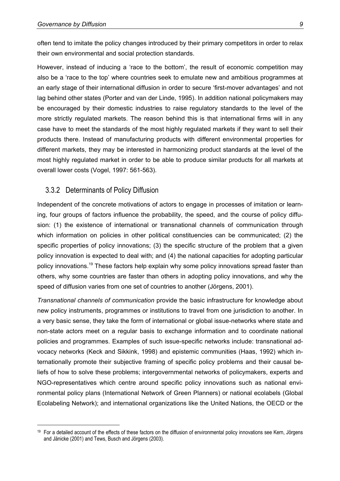often tend to imitate the policy changes introduced by their primary competitors in order to relax their own environmental and social protection standards.

However, instead of inducing a 'race to the bottom', the result of economic competition may also be a 'race to the top' where countries seek to emulate new and ambitious programmes at an early stage of their international diffusion in order to secure 'first-mover advantages' and not lag behind other states (Porter and van der Linde, 1995). In addition national policymakers may be encouraged by their domestic industries to raise regulatory standards to the level of the more strictly regulated markets. The reason behind this is that international firms will in any case have to meet the standards of the most highly regulated markets if they want to sell their products there. Instead of manufacturing products with different environmental properties for different markets, they may be interested in harmonizing product standards at the level of the most highly regulated market in order to be able to produce similar products for all markets at overall lower costs (Vogel, 1997: 561-563).

#### 3.3.2 Determinants of Policy Diffusion

 $\overline{a}$ 

Independent of the concrete motivations of actors to engage in processes of imitation or learning, four groups of factors influence the probability, the speed, and the course of policy diffusion: (1) the existence of international or transnational channels of communication through which information on policies in other political constituencies can be communicated; (2) the specific properties of policy innovations; (3) the specific structure of the problem that a given policy innovation is expected to deal with; and (4) the national capacities for adopting particular policy innovations.<sup>19</sup> These factors help explain why some policy innovations spread faster than others, why some countries are faster than others in adopting policy innovations, and why the speed of diffusion varies from one set of countries to another (Jörgens, 2001).

*Transnational channels of communication* provide the basic infrastructure for knowledge about new policy instruments, programmes or institutions to travel from one jurisdiction to another. In a very basic sense, they take the form of international or global issue-networks where state and non-state actors meet on a regular basis to exchange information and to coordinate national policies and programmes. Examples of such issue-specific networks include: transnational advocacy networks (Keck and Sikkink, 1998) and epistemic communities (Haas, 1992) which internationally promote their subjective framing of specific policy problems and their causal beliefs of how to solve these problems; intergovernmental networks of policymakers, experts and NGO-representatives which centre around specific policy innovations such as national environmental policy plans (International Network of Green Planners) or national ecolabels (Global Ecolabeling Network); and international organizations like the United Nations, the OECD or the

<sup>&</sup>lt;sup>19</sup> For a detailed account of the effects of these factors on the diffusion of environmental policy innovations see Kern, Jörgens and Jänicke (2001) and Tews, Busch and Jörgens (2003).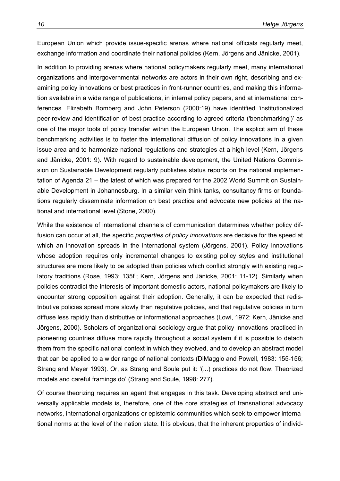European Union which provide issue-specific arenas where national officials regularly meet, exchange information and coordinate their national policies (Kern, Jörgens and Jänicke, 2001).

In addition to providing arenas where national policymakers regularly meet, many international organizations and intergovernmental networks are actors in their own right, describing and examining policy innovations or best practices in front-runner countries, and making this information available in a wide range of publications, in internal policy papers, and at international conferences. Elizabeth Bomberg and John Peterson (2000:19) have identified 'institutionalized peer-review and identification of best practice according to agreed criteria ('benchmarking')' as one of the major tools of policy transfer within the European Union. The explicit aim of these benchmarking activities is to foster the international diffusion of policy innovations in a given issue area and to harmonize national regulations and strategies at a high level (Kern, Jörgens and Jänicke, 2001: 9). With regard to sustainable development, the United Nations Commission on Sustainable Development regularly publishes status reports on the national implementation of Agenda 21 – the latest of which was prepared for the 2002 World Summit on Sustainable Development in Johannesburg. In a similar vein think tanks, consultancy firms or foundations regularly disseminate information on best practice and advocate new policies at the national and international level (Stone, 2000).

While the existence of international channels of communication determines whether policy diffusion can occur at all, the specific *properties of policy innovations* are decisive for the speed at which an innovation spreads in the international system (Jörgens, 2001). Policy innovations whose adoption requires only incremental changes to existing policy styles and institutional structures are more likely to be adopted than policies which conflict strongly with existing regulatory traditions (Rose, 1993: 135f.; Kern, Jörgens and Jänicke, 2001: 11-12). Similarly when policies contradict the interests of important domestic actors, national policymakers are likely to encounter strong opposition against their adoption. Generally, it can be expected that redistributive policies spread more slowly than regulative policies, and that regulative policies in turn diffuse less rapidly than distributive or informational approaches (Lowi, 1972; Kern, Jänicke and Jörgens, 2000). Scholars of organizational sociology argue that policy innovations practiced in pioneering countries diffuse more rapidly throughout a social system if it is possible to detach them from the specific national context in which they evolved, and to develop an abstract model that can be applied to a wider range of national contexts (DiMaggio and Powell, 1983: 155-156; Strang and Meyer 1993). Or, as Strang and Soule put it: '(...) practices do not flow. Theorized models and careful framings do' (Strang and Soule, 1998: 277).

Of course theorizing requires an agent that engages in this task. Developing abstract and universally applicable models is, therefore, one of the core strategies of transnational advocacy networks, international organizations or epistemic communities which seek to empower international norms at the level of the nation state. It is obvious, that the inherent properties of individ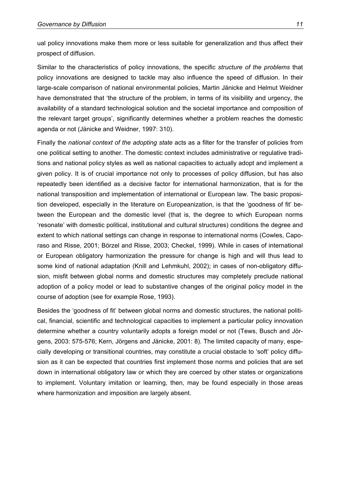ual policy innovations make them more or less suitable for generalization and thus affect their prospect of diffusion.

Similar to the characteristics of policy innovations, the specific *structure of the problems* that policy innovations are designed to tackle may also influence the speed of diffusion. In their large-scale comparison of national environmental policies, Martin Jänicke and Helmut Weidner have demonstrated that 'the structure of the problem, in terms of its visibility and urgency, the availability of a standard technological solution and the societal importance and composition of the relevant target groups', significantly determines whether a problem reaches the domestic agenda or not (Jänicke and Weidner, 1997: 310).

Finally the *national context of the adopting state* acts as a filter for the transfer of policies from one political setting to another. The domestic context includes administrative or regulative traditions and national policy styles as well as national capacities to actually adopt and implement a given policy. It is of crucial importance not only to processes of policy diffusion, but has also repeatedly been identified as a decisive factor for international harmonization, that is for the national transposition and implementation of international or European law. The basic proposition developed, especially in the literature on Europeanization, is that the 'goodness of fit' between the European and the domestic level (that is, the degree to which European norms 'resonate' with domestic political, institutional and cultural structures) conditions the degree and extent to which national settings can change in response to international norms (Cowles, Caporaso and Risse, 2001; Börzel and Risse, 2003; Checkel, 1999). While in cases of international or European obligatory harmonization the pressure for change is high and will thus lead to some kind of national adaptation (Knill and Lehmkuhl, 2002); in cases of non-obligatory diffusion, misfit between global norms and domestic structures may completely preclude national adoption of a policy model or lead to substantive changes of the original policy model in the course of adoption (see for example Rose, 1993).

Besides the 'goodness of fit' between global norms and domestic structures, the national political, financial, scientific and technological capacities to implement a particular policy innovation determine whether a country voluntarily adopts a foreign model or not (Tews, Busch and Jörgens, 2003: 575-576; Kern, Jörgens and Jänicke, 2001: 8). The limited capacity of many, especially developing or transitional countries, may constitute a crucial obstacle to 'soft' policy diffusion as it can be expected that countries first implement those norms and policies that are set down in international obligatory law or which they are coerced by other states or organizations to implement. Voluntary imitation or learning, then, may be found especially in those areas where harmonization and imposition are largely absent.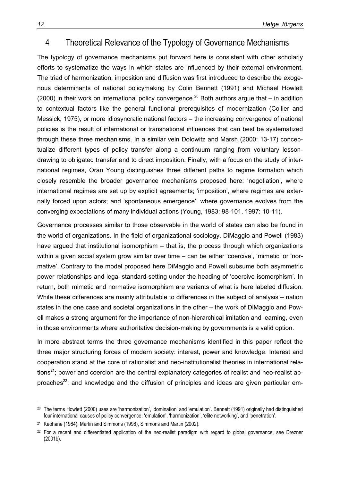# 4 Theoretical Relevance of the Typology of Governance Mechanisms

The typology of governance mechanisms put forward here is consistent with other scholarly efforts to systematize the ways in which states are influenced by their external environment. The triad of harmonization, imposition and diffusion was first introduced to describe the exogenous determinants of national policymaking by Colin Bennett (1991) and Michael Howlett (2000) in their work on international policy convergence.<sup>20</sup> Both authors argue that  $-$  in addition to contextual factors like the general functional prerequisites of modernization (Collier and Messick, 1975), or more idiosyncratic national factors – the increasing convergence of national policies is the result of international or transnational influences that can best be systematized through these three mechanisms. In a similar vein Dolowitz and Marsh (2000: 13-17) conceptualize different types of policy transfer along a continuum ranging from voluntary lessondrawing to obligated transfer and to direct imposition. Finally, with a focus on the study of international regimes, Oran Young distinguishes three different paths to regime formation which closely resemble the broader governance mechanisms proposed here: 'negotiation', where international regimes are set up by explicit agreements; 'imposition', where regimes are externally forced upon actors; and 'spontaneous emergence', where governance evolves from the converging expectations of many individual actions (Young, 1983: 98-101, 1997: 10-11).

Governance processes similar to those observable in the world of states can also be found in the world of organizations. In the field of organizational sociology, DiMaggio and Powell (1983) have argued that institutional isomorphism – that is, the process through which organizations within a given social system grow similar over time – can be either 'coercive', 'mimetic' or 'normative'. Contrary to the model proposed here DiMaggio and Powell subsume both asymmetric power relationships and legal standard-setting under the heading of 'coercive isomorphism'. In return, both mimetic and normative isomorphism are variants of what is here labeled diffusion. While these differences are mainly attributable to differences in the subject of analysis – nation states in the one case and societal organizations in the other – the work of DiMaggio and Powell makes a strong argument for the importance of non-hierarchical imitation and learning, even in those environments where authoritative decision-making by governments is a valid option.

In more abstract terms the three governance mechanisms identified in this paper reflect the three major structuring forces of modern society: interest, power and knowledge. Interest and cooperation stand at the core of rationalist and neo-institutionalist theories in international relations $21$ ; power and coercion are the central explanatory categories of realist and neo-realist approaches $^{22}$ ; and knowledge and the diffusion of principles and ideas are given particular em-

<sup>20</sup> The terms Howlett (2000) uses are 'harmonization', 'domination' and 'emulation'. Bennett (1991) originally had distinguished four international causes of policy convergence: 'emulation', 'harmonization', 'elite networking', and 'penetration'.

<sup>21</sup> Keohane (1984), Martin and Simmons (1998), Simmons and Martin (2002).

<sup>&</sup>lt;sup>22</sup> For a recent and differentiated application of the neo-realist paradigm with regard to global governance, see Drezner (2001b).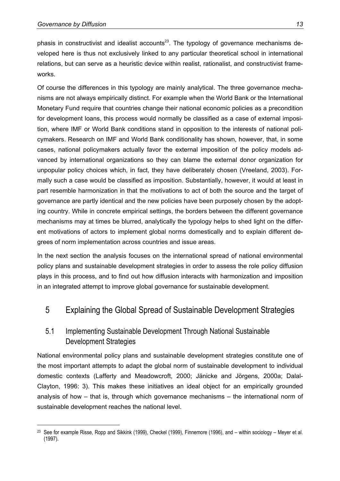$\overline{a}$ 

phasis in constructivist and idealist accounts<sup>23</sup>. The typology of governance mechanisms developed here is thus not exclusively linked to any particular theoretical school in international relations, but can serve as a heuristic device within realist, rationalist, and constructivist frameworks.

Of course the differences in this typology are mainly analytical. The three governance mechanisms are not always empirically distinct. For example when the World Bank or the International Monetary Fund require that countries change their national economic policies as a precondition for development loans, this process would normally be classified as a case of external imposition, where IMF or World Bank conditions stand in opposition to the interests of national policymakers. Research on IMF and World Bank conditionality has shown, however, that, in some cases, national policymakers actually favor the external imposition of the policy models advanced by international organizations so they can blame the external donor organization for unpopular policy choices which, in fact, they have deliberately chosen (Vreeland, 2003). Formally such a case would be classified as imposition. Substantially, however, it would at least in part resemble harmonization in that the motivations to act of both the source and the target of governance are partly identical and the new policies have been purposely chosen by the adopting country. While in concrete empirical settings, the borders between the different governance mechanisms may at times be blurred, analytically the typology helps to shed light on the different motivations of actors to implement global norms domestically and to explain different degrees of norm implementation across countries and issue areas.

In the next section the analysis focuses on the international spread of national environmental policy plans and sustainable development strategies in order to assess the role policy diffusion plays in this process, and to find out how diffusion interacts with harmonization and imposition in an integrated attempt to improve global governance for sustainable development.

5 Explaining the Global Spread of Sustainable Development Strategies

### 5.1 Implementing Sustainable Development Through National Sustainable Development Strategies

National environmental policy plans and sustainable development strategies constitute one of the most important attempts to adapt the global norm of sustainable development to individual domestic contexts (Lafferty and Meadowcroft, 2000; Jänicke and Jörgens, 2000a; Dalal-Clayton, 1996: 3). This makes these initiatives an ideal object for an empirically grounded analysis of how – that is, through which governance mechanisms – the international norm of sustainable development reaches the national level.

 $23$  See for example Risse, Ropp and Sikkink (1999), Checkel (1999), Finnemore (1996), and – within sociology – Meyer et al. (1997).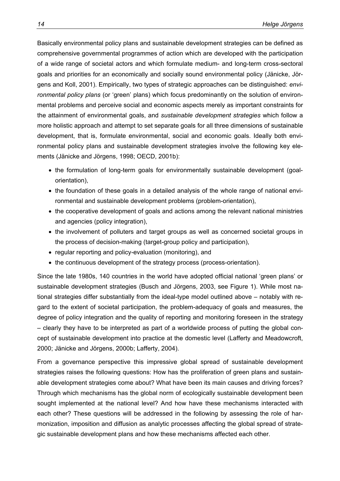Basically environmental policy plans and sustainable development strategies can be defined as comprehensive governmental programmes of action which are developed with the participation of a wide range of societal actors and which formulate medium- and long-term cross-sectoral goals and priorities for an economically and socially sound environmental policy (Jänicke, Jörgens and Koll, 2001). Empirically, two types of strategic approaches can be distinguished: *environmental policy plans* (or 'green' plans) which focus predominantly on the solution of environmental problems and perceive social and economic aspects merely as important constraints for the attainment of environmental goals, and *sustainable development strategies* which follow a more holistic approach and attempt to set separate goals for all three dimensions of sustainable development, that is, formulate environmental, social and economic goals. Ideally both environmental policy plans and sustainable development strategies involve the following key elements (Jänicke and Jörgens, 1998; OECD, 2001b):

- the formulation of long-term goals for environmentally sustainable development (goalorientation),
- the foundation of these goals in a detailed analysis of the whole range of national environmental and sustainable development problems (problem-orientation),
- the cooperative development of goals and actions among the relevant national ministries and agencies (policy integration),
- the involvement of polluters and target groups as well as concerned societal groups in the process of decision-making (target-group policy and participation),
- regular reporting and policy-evaluation (monitoring), and
- the continuous development of the strategy process (process-orientation).

Since the late 1980s, 140 countries in the world have adopted official national 'green plans' or sustainable development strategies (Busch and Jörgens, 2003, see Figure 1). While most national strategies differ substantially from the ideal-type model outlined above – notably with regard to the extent of societal participation, the problem-adequacy of goals and measures, the degree of policy integration and the quality of reporting and monitoring foreseen in the strategy – clearly they have to be interpreted as part of a worldwide process of putting the global concept of sustainable development into practice at the domestic level (Lafferty and Meadowcroft, 2000; Jänicke and Jörgens, 2000b; Lafferty, 2004).

From a governance perspective this impressive global spread of sustainable development strategies raises the following questions: How has the proliferation of green plans and sustainable development strategies come about? What have been its main causes and driving forces? Through which mechanisms has the global norm of ecologically sustainable development been sought implemented at the national level? And how have these mechanisms interacted with each other? These questions will be addressed in the following by assessing the role of harmonization, imposition and diffusion as analytic processes affecting the global spread of strategic sustainable development plans and how these mechanisms affected each other.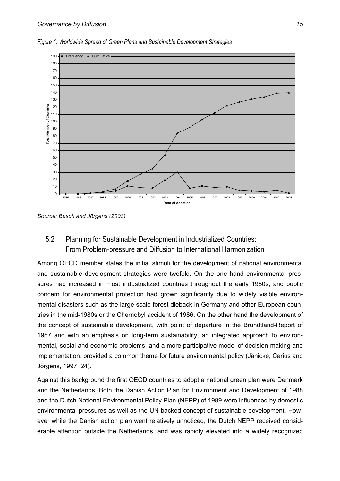

*Figure 1: Worldwide Spread of Green Plans and Sustainable Development Strategies* 

### 5.2 Planning for Sustainable Development in Industrialized Countries: From Problem-pressure and Diffusion to International Harmonization

Among OECD member states the initial stimuli for the development of national environmental and sustainable development strategies were twofold. On the one hand environmental pressures had increased in most industrialized countries throughout the early 1980s, and public concern for environmental protection had grown significantly due to widely visible environmental disasters such as the large-scale forest dieback in Germany and other European countries in the mid-1980s or the Chernobyl accident of 1986. On the other hand the development of the concept of sustainable development, with point of departure in the Brundtland-Report of 1987 and with an emphasis on long-term sustainability, an integrated approach to environmental, social and economic problems, and a more participative model of decision-making and implementation, provided a common theme for future environmental policy (Jänicke, Carius and Jörgens, 1997: 24).

Against this background the first OECD countries to adopt a national green plan were Denmark and the Netherlands. Both the Danish Action Plan for Environment and Development of 1988 and the Dutch National Environmental Policy Plan (NEPP) of 1989 were influenced by domestic environmental pressures as well as the UN-backed concept of sustainable development. However while the Danish action plan went relatively unnoticed, the Dutch NEPP received considerable attention outside the Netherlands, and was rapidly elevated into a widely recognized

*Source: Busch and Jörgens (2003)*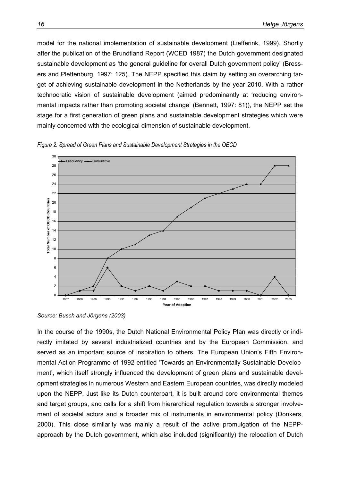model for the national implementation of sustainable development (Liefferink, 1999). Shortly after the publication of the Brundtland Report (WCED 1987) the Dutch government designated sustainable development as 'the general guideline for overall Dutch government policy' (Bressers and Plettenburg, 1997: 125). The NEPP specified this claim by setting an overarching target of achieving sustainable development in the Netherlands by the year 2010. With a rather technocratic vision of sustainable development (aimed predominantly at 'reducing environmental impacts rather than promoting societal change' (Bennett, 1997: 81)), the NEPP set the stage for a first generation of green plans and sustainable development strategies which were mainly concerned with the ecological dimension of sustainable development.



*Figure 2: Spread of Green Plans and Sustainable Development Strategies in the OECD* 

In the course of the 1990s, the Dutch National Environmental Policy Plan was directly or indirectly imitated by several industrialized countries and by the European Commission, and served as an important source of inspiration to others. The European Union's Fifth Environmental Action Programme of 1992 entitled 'Towards an Environmentally Sustainable Development', which itself strongly influenced the development of green plans and sustainable development strategies in numerous Western and Eastern European countries, was directly modeled upon the NEPP. Just like its Dutch counterpart, it is built around core environmental themes and target groups, and calls for a shift from hierarchical regulation towards a stronger involvement of societal actors and a broader mix of instruments in environmental policy (Donkers, 2000). This close similarity was mainly a result of the active promulgation of the NEPPapproach by the Dutch government, which also included (significantly) the relocation of Dutch

*Source: Busch and Jörgens (2003)*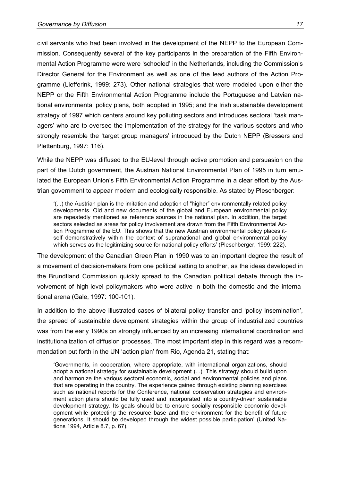civil servants who had been involved in the development of the NEPP to the European Commission. Consequently several of the key participants in the preparation of the Fifth Environmental Action Programme were were 'schooled' in the Netherlands, including the Commission's Director General for the Environment as well as one of the lead authors of the Action Programme (Liefferink, 1999: 273). Other national strategies that were modeled upon either the NEPP or the Fifth Environmental Action Programme include the Portuguese and Latvian national environmental policy plans, both adopted in 1995; and the Irish sustainable development strategy of 1997 which centers around key polluting sectors and introduces sectoral 'task managers' who are to oversee the implementation of the strategy for the various sectors and who strongly resemble the 'target group managers' introduced by the Dutch NEPP (Bressers and Plettenburg, 1997: 116).

While the NEPP was diffused to the EU-level through active promotion and persuasion on the part of the Dutch government, the Austrian National Environmental Plan of 1995 in turn emulated the European Union's Fifth Environmental Action Programme in a clear effort by the Austrian government to appear modern and ecologically responsible. As stated by Pleschberger:

'(...) the Austrian plan is the imitation and adoption of "higher" environmentally related policy developments. Old and new documents of the global and European environmental policy are repeatedly mentioned as reference sources in the national plan. In addition, the target sectors selected as areas for policy involvement are drawn from the Fifth Environmental Action Programme of the EU. This shows that the new Austrian environmental policy places itself demonstratively within the context of supranational and global environmental policy which serves as the legitimizing source for national policy efforts' (Pleschberger, 1999: 222).

The development of the Canadian Green Plan in 1990 was to an important degree the result of a movement of decision-makers from one political setting to another, as the ideas developed in the Brundtland Commission quickly spread to the Canadian political debate through the involvement of high-level policymakers who were active in both the domestic and the international arena (Gale, 1997: 100-101).

In addition to the above illustrated cases of bilateral policy transfer and 'policy insemination', the spread of sustainable development strategies within the group of industrialized countries was from the early 1990s on strongly influenced by an increasing international coordination and institutionalization of diffusion processes. The most important step in this regard was a recommendation put forth in the UN 'action plan' from Rio, Agenda 21, stating that:

'Governments, in cooperation, where appropriate, with international organizations, should adopt a national strategy for sustainable development (...). This strategy should build upon and harmonize the various sectoral economic, social and environmental policies and plans that are operating in the country. The experience gained through existing planning exercises such as national reports for the Conference, national conservation strategies and environment action plans should be fully used and incorporated into a country-driven sustainable development strategy. Its goals should be to ensure socially responsible economic development while protecting the resource base and the environment for the benefit of future generations. It should be developed through the widest possible participation' (United Nations 1994, Article 8.7, p. 67).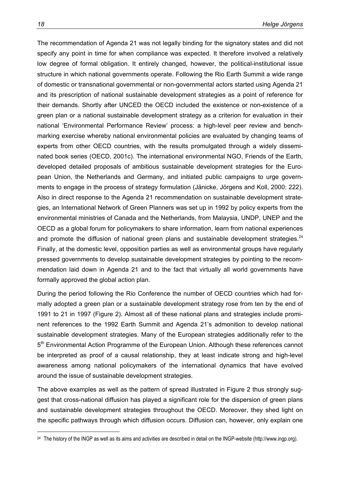The recommendation of Agenda 21 was not legally binding for the signatory states and did not specify any point in time for when compliance was expected. It therefore involved a relatively low degree of formal obligation. It entirely changed, however, the political-institutional issue structure in which national governments operate. Following the Rio Earth Summit a wide range of domestic or transnational governmental or non-governmental actors started using Agenda 21 and its prescription of national sustainable development strategies as a point of reference for their demands. Shortly after UNCED the OECD included the existence or non-existence of a green plan or a national sustainable development strategy as a criterion for evaluation in their national 'Environmental Performance Review' process: a high-level peer review and benchmarking exercise whereby national environmental policies are evaluated by changing teams of experts from other OECD countries, with the results promulgated through a widely disseminated book series (OECD, 2001c). The international environmental NGO, Friends of the Earth, developed detailed proposals of ambitious sustainable development strategies for the European Union, the Netherlands and Germany, and initiated public campaigns to urge governments to engage in the process of strategy formulation (Jänicke, Jörgens and Koll, 2000: 222). Also in direct response to the Agenda 21 recommendation on sustainable development strategies, an International Network of Green Planners was set up in 1992 by policy experts from the environmental ministries of Canada and the Netherlands, from Malaysia, UNDP, UNEP and the OECD as a global forum for policymakers to share information, learn from national experiences and promote the diffusion of national green plans and sustainable development strategies.<sup>24</sup> Finally, at the domestic level, opposition parties as well as environmental groups have regularly pressed governments to develop sustainable development strategies by pointing to the recommendation laid down in Agenda 21 and to the fact that virtually all world governments have formally approved the global action plan.

During the period following the Rio Conference the number of OECD countries which had formally adopted a green plan or a sustainable development strategy rose from ten by the end of 1991 to 21 in 1997 (Figure 2). Almost all of these national plans and strategies include prominent references to the 1992 Earth Summit and Agenda 21's admonition to develop national sustainable development strategies. Many of the European strategies additionally refer to the 5<sup>th</sup> Environmental Action Programme of the European Union. Although these references cannot be interpreted as proof of a causal relationship, they at least indicate strong and high-level awareness among national policymakers of the international dynamics that have evolved around the issue of sustainable development strategies.

The above examples as well as the pattern of spread illustrated in Figure 2 thus strongly suggest that cross-national diffusion has played a significant role for the dispersion of green plans and sustainable development strategies throughout the OECD. Moreover, they shed light on the specific pathways through which diffusion occurs. Diffusion can, however, only explain one

<sup>24</sup> The history of the INGP as well as its aims and activities are described in detail on the INGP-website (http://www.ingp.org).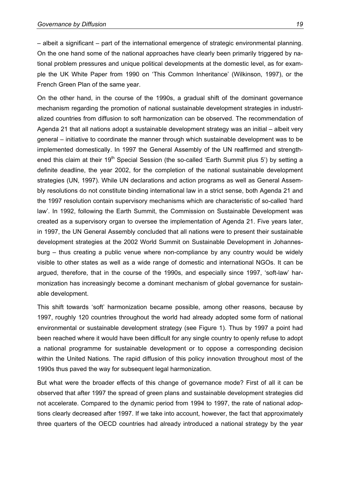– albeit a significant – part of the international emergence of strategic environmental planning. On the one hand some of the national approaches have clearly been primarily triggered by national problem pressures and unique political developments at the domestic level, as for example the UK White Paper from 1990 on 'This Common Inheritance' (Wilkinson, 1997), or the French Green Plan of the same year.

On the other hand, in the course of the 1990s, a gradual shift of the dominant governance mechanism regarding the promotion of national sustainable development strategies in industrialized countries from diffusion to soft harmonization can be observed. The recommendation of Agenda 21 that all nations adopt a sustainable development strategy was an initial – albeit very general – initiative to coordinate the manner through which sustainable development was to be implemented domestically. In 1997 the General Assembly of the UN reaffirmed and strengthened this claim at their 19<sup>th</sup> Special Session (the so-called 'Earth Summit plus 5') by setting a definite deadline, the year 2002, for the completion of the national sustainable development strategies (UN, 1997). While UN declarations and action programs as well as General Assembly resolutions do not constitute binding international law in a strict sense, both Agenda 21 and the 1997 resolution contain supervisory mechanisms which are characteristic of so-called 'hard law'. In 1992, following the Earth Summit, the Commission on Sustainable Development was created as a supervisory organ to oversee the implementation of Agenda 21. Five years later, in 1997, the UN General Assembly concluded that all nations were to present their sustainable development strategies at the 2002 World Summit on Sustainable Development in Johannesburg – thus creating a public venue where non-compliance by any country would be widely visible to other states as well as a wide range of domestic and international NGOs. It can be argued, therefore, that in the course of the 1990s, and especially since 1997, 'soft-law' harmonization has increasingly become a dominant mechanism of global governance for sustainable development.

This shift towards 'soft' harmonization became possible, among other reasons, because by 1997, roughly 120 countries throughout the world had already adopted some form of national environmental or sustainable development strategy (see Figure 1). Thus by 1997 a point had been reached where it would have been difficult for any single country to openly refuse to adopt a national programme for sustainable development or to oppose a corresponding decision within the United Nations. The rapid diffusion of this policy innovation throughout most of the 1990s thus paved the way for subsequent legal harmonization.

But what were the broader effects of this change of governance mode? First of all it can be observed that after 1997 the spread of green plans and sustainable development strategies did not accelerate. Compared to the dynamic period from 1994 to 1997, the rate of national adoptions clearly decreased after 1997. If we take into account, however, the fact that approximately three quarters of the OECD countries had already introduced a national strategy by the year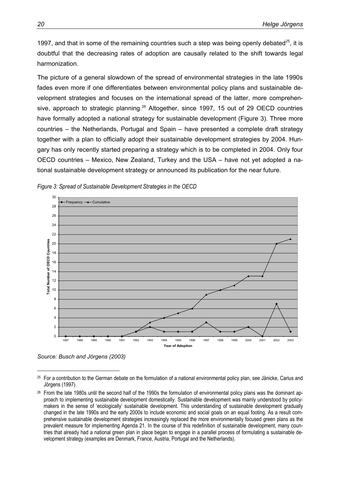1997, and that in some of the remaining countries such a step was being openly debated<sup>25</sup>, it is doubtful that the decreasing rates of adoption are causally related to the shift towards legal harmonization.

The picture of a general slowdown of the spread of environmental strategies in the late 1990s fades even more if one differentiates between environmental policy plans and sustainable development strategies and focuses on the international spread of the latter, more comprehensive, approach to strategic planning.<sup>26</sup> Altogether, since 1997, 15 out of 29 OECD countries have formally adopted a national strategy for sustainable development (Figure 3). Three more countries – the Netherlands, Portugal and Spain – have presented a complete draft strategy together with a plan to officially adopt their sustainable development strategies by 2004. Hungary has only recently started preparing a strategy which is to be completed in 2004. Only four OECD countries – Mexico, New Zealand, Turkey and the USA – have not yet adopted a national sustainable development strategy or announced its publication for the near future.





*Source: Busch and Jörgens (2003)* 

 $25$  For a contribution to the German debate on the formulation of a national environmental policy plan, see Jänicke, Carius and Jörgens (1997).

<sup>26</sup> From the late 1980s until the second half of the 1990s the formulation of environmental policy plans was the dominant approach to implementing sustainable development domestically. Sustainable development was mainly understood by policymakers in the sense of 'ecologically' sustainable development. This understanding of sustainable development gradually changed in the late 1990s and the early 2000s to include economic and social goals on an equal footing. As a result comprehensive sustainable development strategies increasingly replaced the more environmentally focused green plans as the prevalent measure for implementing Agenda 21. In the course of this redefinition of sustainable development, many countries that already had a national green plan in place began to engage in a parallel process of formulating a sustainable development strategy (examples are Denmark, France, Austria, Portugal and the Netherlands).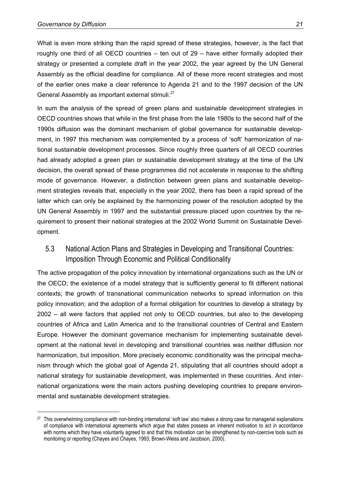$\overline{a}$ 

What is even more striking than the rapid spread of these strategies, however, is the fact that roughly one third of all OECD countries – ten out of 29 – have either formally adopted their strategy or presented a complete draft in the year 2002, the year agreed by the UN General Assembly as the official deadline for compliance. All of these more recent strategies and most of the earlier ones make a clear reference to Agenda 21 and to the 1997 decision of the UN General Assembly as important external stimuli.<sup>27</sup>

In sum the analysis of the spread of green plans and sustainable development strategies in OECD countries shows that while in the first phase from the late 1980s to the second half of the 1990s diffusion was the dominant mechanism of global governance for sustainable development, in 1997 this mechanism was complemented by a process of 'soft' harmonization of national sustainable development processes. Since roughly three quarters of all OECD countries had already adopted a green plan or sustainable development strategy at the time of the UN decision, the overall spread of these programmes did not accelerate in response to the shifting mode of governance. However, a distinction between green plans and sustainable development strategies reveals that, especially in the year 2002, there has been a rapid spread of the latter which can only be explained by the harmonizing power of the resolution adopted by the UN General Assembly in 1997 and the substantial pressure placed upon countries by the requirement to present their national strategies at the 2002 World Summit on Sustainable Development.

### 5.3 National Action Plans and Strategies in Developing and Transitional Countries: Imposition Through Economic and Political Conditionality

The active propagation of the policy innovation by international organizations such as the UN or the OECD; the existence of a model strategy that is sufficiently general to fit different national contexts; the growth of transnational communication networks to spread information on this policy innovation; and the adoption of a formal obligation for countries to develop a strategy by 2002 – all were factors that applied not only to OECD countries, but also to the developing countries of Africa and Latin America and to the transitional countries of Central and Eastern Europe. However the dominant governance mechanism for implementing sustainable development at the national level in developing and transitional countries was neither diffusion nor harmonization, but imposition. More precisely economic conditionality was the principal mechanism through which the global goal of Agenda 21, stipulating that all countries should adopt a national strategy for sustainable development, was implemented in these countries. And international organizations were the main actors pushing developing countries to prepare environmental and sustainable development strategies.

<sup>&</sup>lt;sup>27</sup> This overwhelming compliance with non-binding international 'soft law' also makes a strong case for managerial explanations of compliance with international agreements which argue that states possess an inherent motivation to act in accordance with norms which they have voluntarily agreed to and that this motivation can be strengthened by non-coercive tools such as monitoring or reporting (Chayes and Chayes, 1993; Brown-Weiss and Jacobson, 2000).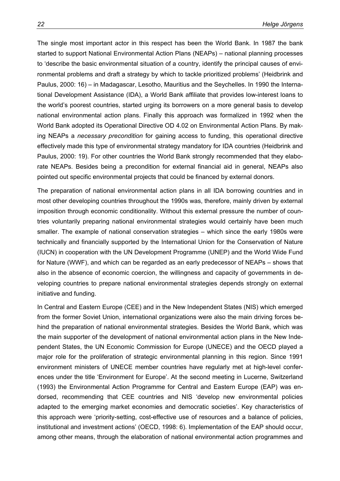The single most important actor in this respect has been the World Bank. In 1987 the bank started to support National Environmental Action Plans (NEAPs) – national planning processes to 'describe the basic environmental situation of a country, identify the principal causes of environmental problems and draft a strategy by which to tackle prioritized problems' (Heidbrink and Paulus, 2000: 16) – in Madagascar, Lesotho, Mauritius and the Seychelles. In 1990 the International Development Assistance (IDA), a World Bank affiliate that provides low-interest loans to the world's poorest countries, started urging its borrowers on a more general basis to develop national environmental action plans. Finally this approach was formalized in 1992 when the World Bank adopted its Operational Directive OD 4.02 on Environmental Action Plans. By making NEAPs a *necessary precondition* for gaining access to funding, this operational directive effectively made this type of environmental strategy mandatory for IDA countries (Heidbrink and Paulus, 2000: 19). For other countries the World Bank strongly recommended that they elaborate NEAPs. Besides being a precondition for external financial aid in general, NEAPs also pointed out specific environmental projects that could be financed by external donors.

The preparation of national environmental action plans in all IDA borrowing countries and in most other developing countries throughout the 1990s was, therefore, mainly driven by external imposition through economic conditionality. Without this external pressure the number of countries voluntarily preparing national environmental strategies would certainly have been much smaller. The example of national conservation strategies – which since the early 1980s were technically and financially supported by the International Union for the Conservation of Nature (IUCN) in cooperation with the UN Development Programme (UNEP) and the World Wide Fund for Nature (WWF), and which can be regarded as an early predecessor of NEAPs – shows that also in the absence of economic coercion, the willingness and capacity of governments in developing countries to prepare national environmental strategies depends strongly on external initiative and funding.

In Central and Eastern Europe (CEE) and in the New Independent States (NIS) which emerged from the former Soviet Union, international organizations were also the main driving forces behind the preparation of national environmental strategies. Besides the World Bank, which was the main supporter of the development of national environmental action plans in the New Independent States, the UN Economic Commission for Europe (UNECE) and the OECD played a major role for the proliferation of strategic environmental planning in this region. Since 1991 environment ministers of UNECE member countries have regularly met at high-level conferences under the title 'Environment for Europe'. At the second meeting in Lucerne, Switzerland (1993) the Environmental Action Programme for Central and Eastern Europe (EAP) was endorsed, recommending that CEE countries and NIS 'develop new environmental policies adapted to the emerging market economies and democratic societies'. Key characteristics of this approach were 'priority-setting, cost-effective use of resources and a balance of policies, institutional and investment actions' (OECD, 1998: 6). Implementation of the EAP should occur, among other means, through the elaboration of national environmental action programmes and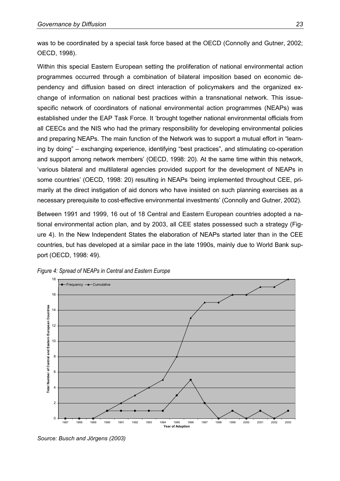was to be coordinated by a special task force based at the OECD (Connolly and Gutner, 2002; OECD, 1998).

Within this special Eastern European setting the proliferation of national environmental action programmes occurred through a combination of bilateral imposition based on economic dependency and diffusion based on direct interaction of policymakers and the organized exchange of information on national best practices within a transnational network. This issuespecific network of coordinators of national environmental action programmes (NEAPs) was established under the EAP Task Force. It 'brought together national environmental officials from all CEECs and the NIS who had the primary responsibility for developing environmental policies and preparing NEAPs. The main function of the Network was to support a mutual effort in "learning by doing" – exchanging experience, identifying "best practices", and stimulating co-operation and support among network members' (OECD, 1998: 20). At the same time within this network, 'various bilateral and multilateral agencies provided support for the development of NEAPs in some countries' (OECD, 1998: 20) resulting in NEAPs 'being implemented throughout CEE, primarily at the direct instigation of aid donors who have insisted on such planning exercises as a necessary prerequisite to cost-effective environmental investments' (Connolly and Gutner, 2002).

Between 1991 and 1999, 16 out of 18 Central and Eastern European countries adopted a national environmental action plan, and by 2003, all CEE states possessed such a strategy (Figure 4). In the New Independent States the elaboration of NEAPs started later than in the CEE countries, but has developed at a similar pace in the late 1990s, mainly due to World Bank support (OECD, 1998: 49).



*Figure 4: Spread of NEAPs in Central and Eastern Europe* 

*Source: Busch and Jörgens (2003)*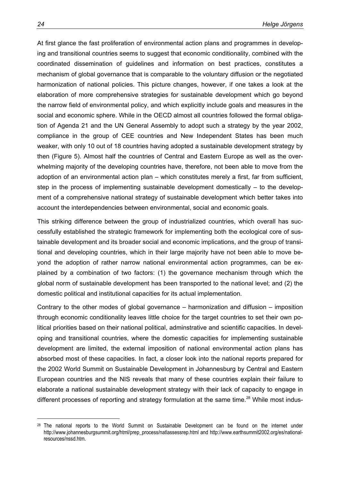At first glance the fast proliferation of environmental action plans and programmes in developing and transitional countries seems to suggest that economic conditionality, combined with the coordinated dissemination of guidelines and information on best practices, constitutes a mechanism of global governance that is comparable to the voluntary diffusion or the negotiated harmonization of national policies. This picture changes, however, if one takes a look at the elaboration of more comprehensive strategies for sustainable development which go beyond the narrow field of environmental policy, and which explicitly include goals and measures in the social and economic sphere. While in the OECD almost all countries followed the formal obligation of Agenda 21 and the UN General Assembly to adopt such a strategy by the year 2002, compliance in the group of CEE countries and New Independent States has been much weaker, with only 10 out of 18 countries having adopted a sustainable development strategy by then (Figure 5). Almost half the countries of Central and Eastern Europe as well as the overwhelming majority of the developing countries have, therefore, not been able to move from the adoption of an environmental action plan – which constitutes merely a first, far from sufficient, step in the process of implementing sustainable development domestically – to the development of a comprehensive national strategy of sustainable development which better takes into account the interdependencies between environmental, social and economic goals.

This striking difference between the group of industrialized countries, which overall has successfully established the strategic framework for implementing both the ecological core of sustainable development and its broader social and economic implications, and the group of transitional and developing countries, which in their large majority have not been able to move beyond the adoption of rather narrow national environmental action programmes, can be explained by a combination of two factors: (1) the governance mechanism through which the global norm of sustainable development has been transported to the national level; and (2) the domestic political and institutional capacities for its actual implementation.

Contrary to the other modes of global governance – harmonization and diffusion – imposition through economic conditionality leaves little choice for the target countries to set their own political priorities based on their national political, adminstrative and scientific capacities. In developing and transitional countries, where the domestic capacities for implementing sustainable development are limited, the external imposition of national environmental action plans has absorbed most of these capacities. In fact, a closer look into the national reports prepared for the 2002 World Summit on Sustainable Development in Johannesburg by Central and Eastern European countries and the NIS reveals that many of these countries explain their failure to elaborate a national sustainable development strategy with their lack of capacity to engage in different processes of reporting and strategy formulation at the same time.<sup>28</sup> While most indus-

<sup>&</sup>lt;sup>28</sup> The national reports to the World Summit on Sustainable Development can be found on the internet under http://www.johannesburgsummit.org/html/prep\_process/natlassessrep.html and http://www.earthsummit2002.org/es/nationalresources/nssd.htm.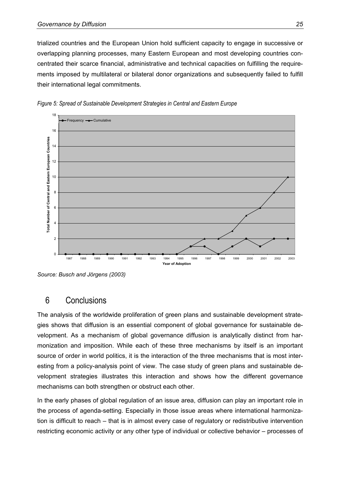trialized countries and the European Union hold sufficient capacity to engage in successive or overlapping planning processes, many Eastern European and most developing countries concentrated their scarce financial, administrative and technical capacities on fulfilling the requirements imposed by multilateral or bilateral donor organizations and subsequently failed to fulfill their international legal commitments.





*Source: Busch and Jörgens (2003)* 

### 6 Conclusions

The analysis of the worldwide proliferation of green plans and sustainable development strategies shows that diffusion is an essential component of global governance for sustainable development. As a mechanism of global governance diffusion is analytically distinct from harmonization and imposition. While each of these three mechanisms by itself is an important source of order in world politics, it is the interaction of the three mechanisms that is most interesting from a policy-analysis point of view. The case study of green plans and sustainable development strategies illustrates this interaction and shows how the different governance mechanisms can both strengthen or obstruct each other.

In the early phases of global regulation of an issue area, diffusion can play an important role in the process of agenda-setting. Especially in those issue areas where international harmonization is difficult to reach – that is in almost every case of regulatory or redistributive intervention restricting economic activity or any other type of individual or collective behavior – processes of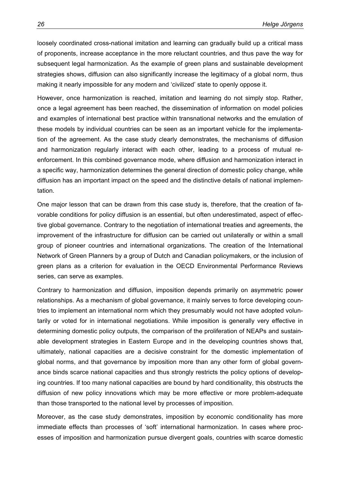loosely coordinated cross-national imitation and learning can gradually build up a critical mass of proponents, increase acceptance in the more reluctant countries, and thus pave the way for subsequent legal harmonization. As the example of green plans and sustainable development strategies shows, diffusion can also significantly increase the legitimacy of a global norm, thus making it nearly impossible for any modern and 'civilized' state to openly oppose it.

However, once harmonization is reached, imitation and learning do not simply stop. Rather, once a legal agreement has been reached, the dissemination of information on model policies and examples of international best practice within transnational networks and the emulation of these models by individual countries can be seen as an important vehicle for the implementation of the agreement. As the case study clearly demonstrates, the mechanisms of diffusion and harmonization regularly interact with each other, leading to a process of mutual reenforcement. In this combined governance mode, where diffusion and harmonization interact in a specific way, harmonization determines the general direction of domestic policy change, while diffusion has an important impact on the speed and the distinctive details of national implementation.

One major lesson that can be drawn from this case study is, therefore, that the creation of favorable conditions for policy diffusion is an essential, but often underestimated, aspect of effective global governance. Contrary to the negotiation of international treaties and agreements, the improvement of the infrastructure for diffusion can be carried out unilaterally or within a small group of pioneer countries and international organizations. The creation of the International Network of Green Planners by a group of Dutch and Canadian policymakers, or the inclusion of green plans as a criterion for evaluation in the OECD Environmental Performance Reviews series, can serve as examples.

Contrary to harmonization and diffusion, imposition depends primarily on asymmetric power relationships. As a mechanism of global governance, it mainly serves to force developing countries to implement an international norm which they presumably would not have adopted voluntarily or voted for in international negotiations. While imposition is generally very effective in determining domestic policy outputs, the comparison of the proliferation of NEAPs and sustainable development strategies in Eastern Europe and in the developing countries shows that, ultimately, national capacities are a decisive constraint for the domestic implementation of global norms, and that governance by imposition more than any other form of global governance binds scarce national capacities and thus strongly restricts the policy options of developing countries. If too many national capacities are bound by hard conditionality, this obstructs the diffusion of new policy innovations which may be more effective or more problem-adequate than those transported to the national level by processes of imposition.

Moreover, as the case study demonstrates, imposition by economic conditionality has more immediate effects than processes of 'soft' international harmonization. In cases where processes of imposition and harmonization pursue divergent goals, countries with scarce domestic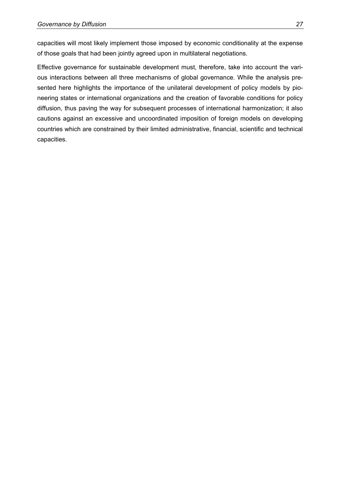capacities will most likely implement those imposed by economic conditionality at the expense of those goals that had been jointly agreed upon in multilateral negotiations.

Effective governance for sustainable development must, therefore, take into account the various interactions between all three mechanisms of global governance. While the analysis presented here highlights the importance of the unilateral development of policy models by pioneering states or international organizations and the creation of favorable conditions for policy diffusion, thus paving the way for subsequent processes of international harmonization; it also cautions against an excessive and uncoordinated imposition of foreign models on developing countries which are constrained by their limited administrative, financial, scientific and technical capacities.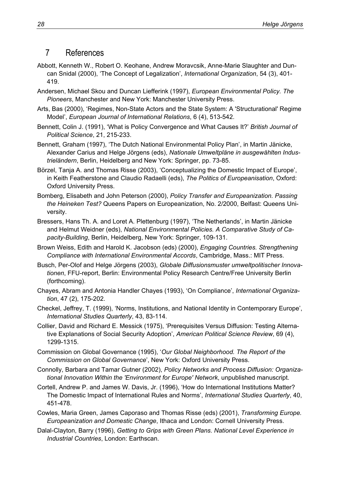### 7 References

- Abbott, Kenneth W., Robert O. Keohane, Andrew Moravcsik, Anne-Marie Slaughter and Duncan Snidal (2000), 'The Concept of Legalization', *International Organization*, 54 (3), 401- 419.
- Andersen, Michael Skou and Duncan Liefferink (1997), *European Environmental Policy. The Pioneers*, Manchester and New York: Manchester University Press.
- Arts, Bas (2000), 'Regimes, Non-State Actors and the State System: A 'Structurational' Regime Model', *European Journal of International Relations*, 6 (4), 513-542.
- Bennett, Colin J. (1991), 'What is Policy Convergence and What Causes It?' *British Journal of Political Science*, 21, 215-233.
- Bennett, Graham (1997), 'The Dutch National Environmental Policy Plan', in Martin Jänicke, Alexander Carius and Helge Jörgens (eds), *Nationale Umweltpläne in ausgewählten Industrieländern*, Berlin, Heidelberg and New York: Springer, pp. 73-85.
- Börzel, Tanja A. and Thomas Risse (2003), 'Conceptualizing the Domestic Impact of Europe', in Keith Featherstone and Claudio Radaelli (eds), *The Politics of Europeanisation*, Oxford: Oxford University Press.
- Bomberg, Elisabeth and John Peterson (2000), *Policy Transfer and Europeanization. Passing the Heineken Test?* Queens Papers on Europeanization, No. 2/2000, Belfast: Queens University.
- Bressers, Hans Th. A. and Loret A. Plettenburg (1997), 'The Netherlands', in Martin Jänicke and Helmut Weidner (eds), *National Environmental Policies. A Comparative Study of Capacity-Building*, Berlin, Heidelberg, New York: Springer, 109-131.
- Brown Weiss, Edith and Harold K. Jacobson (eds) (2000), *Engaging Countries. Strengthening Compliance with International Environmental Accords*, Cambridge, Mass.: MIT Press.
- Busch, Per-Olof and Helge Jörgens (2003), *Globale Diffusionsmuster umweltpolitischer Innovationen*, FFU-report, Berlin: Environmental Policy Research Centre/Free University Berlin (forthcoming).
- Chayes, Abram and Antonia Handler Chayes (1993), 'On Compliance', *International Organization*, 47 (2), 175-202.
- Checkel, Jeffrey, T. (1999), 'Norms, Institutions, and National Identity in Contemporary Europe', *International Studies Quarterly*, 43, 83-114.
- Collier, David and Richard E. Messick (1975), 'Prerequisites Versus Diffusion: Testing Alternative Explanations of Social Security Adoption', *American Political Science Review*, 69 (4), 1299-1315.
- Commission on Global Governance (1995), '*Our Global Neighborhood. The Report of the Commission on Global Governance*', New York: Oxford University Press.
- Connolly, Barbara and Tamar Gutner (2002), *Policy Networks and Process Diffusion: Organizational Innovation Within the 'Environment for Europe' Network*, unpublished manuscript.
- Cortell, Andrew P. and James W. Davis, Jr. (1996), 'How do International Institutions Matter? The Domestic Impact of International Rules and Norms', *International Studies Quarterly*, 40, 451-478.
- Cowles, Maria Green, James Caporaso and Thomas Risse (eds) (2001), *Transforming Europe. Europeanization and Domestic Change*, Ithaca and London: Cornell University Press.
- Dalal-Clayton, Barry (1996), *Getting to Grips with Green Plans. National Level Experience in Industrial Countries*, London: Earthscan.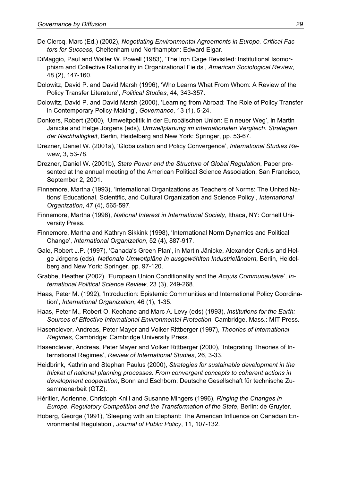- De Clercq, Marc (Ed.) (2002), *Negotiating Environmental Agreements in Europe. Critical Factors for Success*, Cheltenham und Northampton: Edward Elgar.
- DiMaggio, Paul and Walter W. Powell (1983), 'The Iron Cage Revisited: Institutional Isomorphism and Collective Rationality in Organizational Fields', *American Sociological Review*, 48 (2), 147-160.
- Dolowitz, David P. and David Marsh (1996), 'Who Learns What From Whom: A Review of the Policy Transfer Literature', *Political Studies*, 44, 343-357.
- Dolowitz, David P. and David Marsh (2000), 'Learning from Abroad: The Role of Policy Transfer in Contemporary Policy-Making', *Governance*, 13 (1), 5-24.
- Donkers, Robert (2000), 'Umweltpolitik in der Europäischen Union: Ein neuer Weg', in Martin Jänicke and Helge Jörgens (eds), *Umweltplanung im internationalen Vergleich. Strategien der Nachhaltigkeit*, Berlin, Heidelberg and New York: Springer, pp. 53-67.
- Drezner, Daniel W. (2001a), 'Globalization and Policy Convergence', *International Studies Review*, 3, 53-78.
- Drezner, Daniel W. (2001b), *State Power and the Structure of Global Regulation*, Paper presented at the annual meeting of the American Political Science Association, San Francisco, September 2, 2001.
- Finnemore, Martha (1993), 'International Organizations as Teachers of Norms: The United Nations' Educational, Scientific, and Cultural Organization and Science Policy', *International Organization*, 47 (4), 565-597.
- Finnemore, Martha (1996), *National Interest in International Society*, Ithaca, NY: Cornell University Press.
- Finnemore, Martha and Kathryn Sikkink (1998), 'International Norm Dynamics and Political Change', *International Organization*, 52 (4), 887-917.
- Gale, Robert J.P. (1997), 'Canada's Green Plan', in Martin Jänicke, Alexander Carius and Helge Jörgens (eds), *Nationale Umweltpläne in ausgewählten Industrieländern*, Berlin, Heidelberg and New York: Springer, pp. 97-120.
- Grabbe, Heather (2002), 'European Union Conditionality and the *Acquis Communautaire*', *International Political Science Review*, 23 (3), 249-268.
- Haas, Peter M. (1992), 'Introduction: Epistemic Communities and International Policy Coordination', *International Organization*, 46 (1), 1-35.
- Haas, Peter M., Robert O. Keohane and Marc A. Levy (eds) (1993), *Institutions for the Earth: Sources of Effective International Environmental Protection*, Cambridge, Mass.: MIT Press.
- Hasenclever, Andreas, Peter Mayer and Volker Rittberger (1997), *Theories of International Regimes*, Cambridge: Cambridge University Press.
- Hasenclever, Andreas, Peter Mayer and Volker Rittberger (2000), 'Integrating Theories of International Regimes', *Review of International Studies*, 26, 3-33.
- Heidbrink, Kathrin and Stephan Paulus (2000), *Strategies for sustainable development in the thicket of national planning processes. From convergent concepts to coherent actions in development cooperation*, Bonn and Eschborn: Deutsche Gesellschaft für technische Zusammenarbeit (GTZ).
- Héritier, Adrienne, Christoph Knill and Susanne Mingers (1996), *Ringing the Changes in Europe. Regulatory Competition and the Transformation of the State*, Berlin: de Gruyter.
- Hoberg, George (1991), 'Sleeping with an Elephant: The American Influence on Canadian Environmental Regulation', *Journal of Public Policy*, 11, 107-132.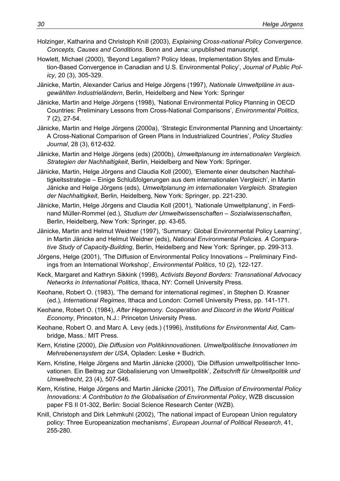- Holzinger, Katharina and Christoph Knill (2003), *Explaining Cross-national Policy Convergence. Concepts, Causes and Conditions*. Bonn and Jena: unpublished manuscript.
- Howlett, Michael (2000), 'Beyond Legalism? Policy Ideas, Implementation Styles and Emulation-Based Convergence in Canadian and U.S. Environmental Policy', *Journal of Public Policy*, 20 (3), 305-329.
- Jänicke, Martin, Alexander Carius and Helge Jörgens (1997), *Nationale Umweltpläne in ausgewählten Industrieländern*, Berlin, Heidelberg and New York: Springer
- Jänicke, Martin and Helge Jörgens (1998), 'National Environmental Policy Planning in OECD Countries: Preliminary Lessons from Cross-National Comparisons', *Environmental Politics*, 7 (2), 27-54.
- Jänicke, Martin and Helge Jörgens (2000a), 'Strategic Environmental Planning and Uncertainty: A Cross-National Comparison of Green Plans in Industrialized Countries', *Policy Studies Journal*, 28 (3), 612-632.
- Jänicke, Martin and Helge Jörgens (eds) (2000b), *Umweltplanung im internationalen Vergleich. Strategien der Nachhaltigkeit*, Berlin, Heidelberg and New York: Springer.
- Jänicke, Martin, Helge Jörgens and Claudia Koll (2000), 'Elemente einer deutschen Nachhaltigkeitsstrategie – Einige Schlußfolgerungen aus dem internationalen Vergleich', in Martin Jänicke and Helge Jörgens (eds), *Umweltplanung im internationalen Vergleich. Strategien der Nachhaltigkeit*, Berlin, Heidelberg, New York: Springer, pp. 221-230.
- Jänicke, Martin, Helge Jörgens and Claudia Koll (2001), 'Nationale Umweltplanung', in Ferdinand Müller-Rommel (ed.), *Studium der Umweltwissenschaften – Sozialwissenschaften*, Berlin, Heidelberg, New York: Springer, pp. 43-65.
- Jänicke, Martin and Helmut Weidner (1997), 'Summary: Global Environmental Policy Learning', in Martin Jänicke and Helmut Weidner (eds), *National Environmental Policies. A Comparative Study of Capacity-Building*, Berlin, Heidelberg and New York: Springer, pp. 299-313.
- Jörgens, Helge (2001), 'The Diffusion of Environmental Policy Innovations Preliminary Findings from an International Workshop', *Environmental Politics*, 10 (2), 122-127.
- Keck, Margaret and Kathryn Sikkink (1998), *Activists Beyond Borders: Transnational Advocacy Networks in International Politics*, Ithaca, NY: Cornell University Press.
- Keohane, Robert O. (1983), 'The demand for international regimes', in Stephen D. Krasner (ed.), *International Regimes*, Ithaca and London: Cornell University Press, pp. 141-171.
- Keohane, Robert O. (1984), *After Hegemony. Cooperation and Discord in the World Political Economy*, Princeton, N.J.: Princeton University Press.
- Keohane, Robert O. and Marc A. Levy (eds.) (1996), *Institutions for Environmental Aid*, Cambridge, Mass.: MIT Press.
- Kern, Kristine (2000), *Die Diffusion von Politikinnovationen. Umweltpolitische Innovationen im Mehrebenensystem der USA*, Opladen: Leske + Budrich.
- Kern, Kristine, Helge Jörgens and Martin Jänicke (2000), 'Die Diffusion umweltpolitischer Innovationen. Ein Beitrag zur Globalisierung von Umweltpolitik', *Zeitschrift für Umweltpolitik und Umweltrecht*, 23 (4), 507-546.
- Kern, Kristine, Helge Jörgens and Martin Jänicke (2001), *The Diffusion of Environmental Policy Innovations: A Contribution to the Globalisation of Environmental Policy*, WZB discussion paper FS II 01-302, Berlin: Social Science Research Center (WZB).
- Knill, Christoph and Dirk Lehmkuhl (2002), 'The national impact of European Union regulatory policy: Three Europeanization mechanisms', *European Journal of Political Research*, 41, 255-280.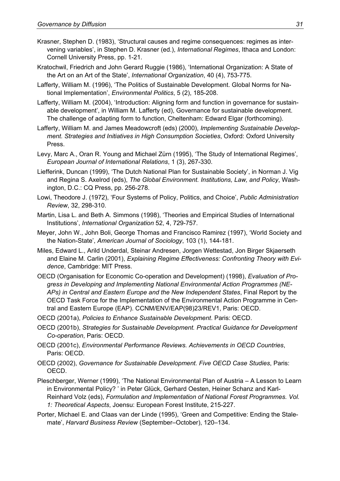- Krasner, Stephen D. (1983), 'Structural causes and regime consequences: regimes as intervening variables', in Stephen D. Krasner (ed.), *International Regimes*, Ithaca and London: Cornell University Press, pp. 1-21.
- Kratochwil, Friedrich and John Gerard Ruggie (1986), 'International Organization: A State of the Art on an Art of the State', *International Organization*, 40 (4), 753-775.
- Lafferty, William M. (1996), 'The Politics of Sustainable Development. Global Norms for National Implementation', *Environmental Politics*, 5 (2), 185-208.
- Lafferty, William M. (2004), 'Introduction: Aligning form and function in governance for sustainable development', in William M. Lafferty (ed), Governance for sustainable development. The challenge of adapting form to function, Cheltenham: Edward Elgar (forthcoming).
- Lafferty, William M. and James Meadowcroft (eds) (2000), *Implementing Sustainable Development. Strategies and Initiatives in High Consumption Societies*, Oxford: Oxford University Press.
- Levy, Marc A., Oran R. Young and Michael Zürn (1995), 'The Study of International Regimes', *European Journal of International Relations*, 1 (3), 267-330.
- Liefferink, Duncan (1999), 'The Dutch National Plan for Sustainable Society', in Norman J. Vig and Regina S. Axelrod (eds), *The Global Environment. Institutions, Law, and Policy*, Washington, D.C.: CQ Press, pp. 256-278.
- Lowi, Theodore J. (1972), 'Four Systems of Policy, Politics, and Choice', *Public Administration Review*, 32, 298-310.
- Martin, Lisa L. and Beth A. Simmons (1998), 'Theories and Empirical Studies of International Institutions', *International Organization* 52, 4, 729-757.
- Meyer, John W., John Boli, George Thomas and Francisco Ramirez (1997), 'World Society and the Nation-State', *American Journal of Sociology*, 103 (1), 144-181.
- Miles, Edward L., Arild Underdal, Steinar Andresen, Jorgen Wettestad, Jon Birger Skjaerseth and Elaine M. Carlin (2001), *Explaining Regime Effectiveness: Confronting Theory with Evidence*, Cambridge: MIT Press.
- OECD (Organisation for Economic Co-operation and Development) (1998), *Evaluation of Progress in Developing and Implementing National Environmental Action Programmes (NE-APs) in Central and Eastern Europe and the New Independent States*, Final Report by the OECD Task Force for the Implementation of the Environmental Action Programme in Central and Eastern Europe (EAP). CCNM/ENV/EAP(98)23/REV1, Paris: OECD.
- OECD (2001a), *Policies to Enhance Sustainable Development*. Paris: OECD.
- OECD (2001b), *Strategies for Sustainable Development. Practical Guidance for Development Co-operation*, Paris: OECD.
- OECD (2001c), *Environmental Performance Reviews. Achievements in OECD Countries*, Paris: OECD.
- OECD (2002), *Governance for Sustainable Development. Five OECD Case Studies*, Paris: OECD.
- Pleschberger, Werner (1999), 'The National Environmental Plan of Austria A Lesson to Learn in Environmental Policy? ' in Peter Glück, Gerhard Oesten, Heiner Schanz and Karl-Reinhard Volz (eds), *Formulation and Implementation of National Forest Programmes. Vol. 1: Theoretical Aspects*, Joensu: European Forest Institute, 215-227.
- Porter, Michael E. and Claas van der Linde (1995), 'Green and Competitive: Ending the Stalemate', *Harvard Business Review* (September–October), 120–134.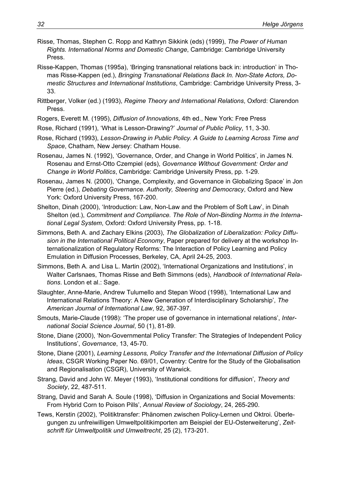- Risse, Thomas, Stephen C. Ropp and Kathryn Sikkink (eds) (1999), *The Power of Human Rights. International Norms and Domestic Change*, Cambridge: Cambridge University Press.
- Risse-Kappen, Thomas (1995a), 'Bringing transnational relations back in: introduction' in Thomas Risse-Kappen (ed.), *Bringing Transnational Relations Back In. Non-State Actors, Domestic Structures and International Institutions*, Cambridge: Cambridge University Press, 3- 33.
- Rittberger, Volker (ed.) (1993), *Regime Theory and International Relations*, Oxford: Clarendon Press.
- Rogers, Everett M. (1995), *Diffusion of Innovations*, 4th ed., New York: Free Press
- Rose, Richard (1991), 'What is Lesson-Drawing?' *Journal of Public Policy*, 11, 3-30.
- Rose, Richard (1993), *Lesson-Drawing in Public Policy. A Guide to Learning Across Time and Space*, Chatham, New Jersey: Chatham House.
- Rosenau, James N. (1992), 'Governance, Order, and Change in World Politics', in James N. Rosenau and Ernst-Otto Czempiel (eds), *Governance Without Government: Order and Change in World Politics*, Cambridge: Cambridge University Press, pp. 1-29.
- Rosenau, James N. (2000), 'Change, Complexity, and Governance in Globalizing Space' in Jon Pierre (ed.), *Debating Governance. Authority, Steering and Democracy*, Oxford and New York: Oxford University Press, 167-200.
- Shelton, Dinah (2000), 'Introduction: Law, Non-Law and the Problem of Soft Law', in Dinah Shelton (ed.), *Commitment and Compliance. The Role of Non-Binding Norms in the International Legal System*, Oxford: Oxford University Press, pp. 1-18.
- Simmons, Beth A. and Zachary Elkins (2003), *The Globalization of Liberalization: Policy Diffusion in the International Political Economy*, Paper prepared for delivery at the workshop Internationalization of Regulatory Reforms: The Interaction of Policy Learning and Policy Emulation in Diffusion Processes, Berkeley, CA, April 24-25, 2003.
- Simmons, Beth A. and Lisa L. Martin (2002), 'International Organizations and Institutions', in Walter Carlsnaes, Thomas Risse and Beth Simmons (eds), *Handbook of International Relations*. London et al.: Sage.
- Slaughter, Anne-Marie, Andrew Tulumello and Stepan Wood (1998), 'International Law and International Relations Theory: A New Generation of Interdisciplinary Scholarship', *The American Journal of International Law*, 92, 367-397.
- Smouts, Marie-Claude (1998): 'The proper use of governance in international relations', *International Social Science Journal*, 50 (1), 81-89.
- Stone, Diane (2000), 'Non-Governmental Policy Transfer: The Strategies of Independent Policy Institutions', *Governance*, 13, 45-70.
- Stone, Diane (2001), *Learning Lessons, Policy Transfer and the International Diffusion of Policy Ideas*, CSGR Working Paper No. 69/01, Coventry: Centre for the Study of the Globalisation and Regionalisation (CSGR), University of Warwick.
- Strang, David and John W. Meyer (1993), 'Institutional conditions for diffusion', *Theory and Society*, 22, 487-511.
- Strang, David and Sarah A. Soule (1998), 'Diffusion in Organizations and Social Movements: From Hybrid Corn to Poison Pills', *Annual Review of Sociology*, 24, 265-290.
- Tews, Kerstin (2002), 'Politiktransfer: Phänomen zwischen Policy-Lernen und Oktroi. Überlegungen zu unfreiwilligen Umweltpolitikimporten am Beispiel der EU-Osterweiterung', *Zeitschrift für Umweltpolitik und Umweltrecht*, 25 (2), 173-201.